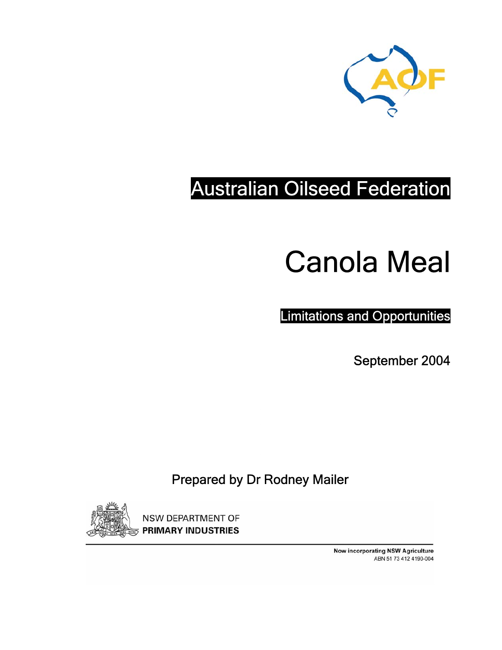

# Australian Oilseed Federation

# Canola Meal

Limitations and Opportunities

September 2004

### Prepared by Dr Rodney Mailer



**NSW DEPARTMENT OF PRIMARY INDUSTRIES** 

> **Now incorporating NSW Agriculture** ABN 51 73 412 4190-004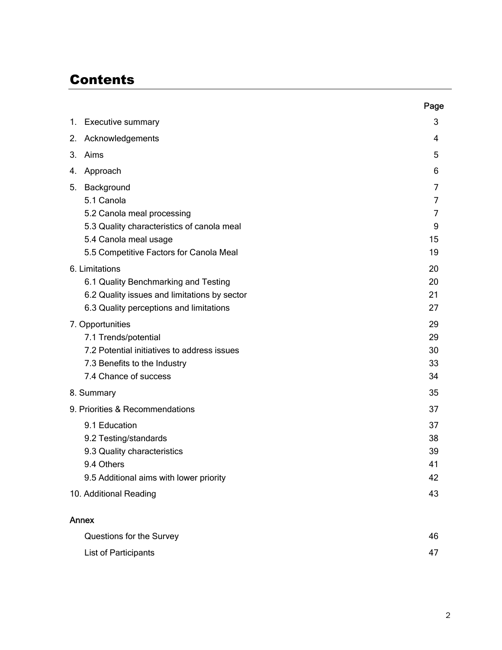### **Contents**

|                                              | Page |
|----------------------------------------------|------|
| <b>Executive summary</b><br>1.               | 3    |
| Acknowledgements<br>2.                       | 4    |
| Aims<br>3.                                   | 5    |
| Approach<br>4.                               | 6    |
| 5.<br>Background                             | 7    |
| 5.1 Canola                                   | 7    |
| 5.2 Canola meal processing                   | 7    |
| 5.3 Quality characteristics of canola meal   | 9    |
| 5.4 Canola meal usage                        | 15   |
| 5.5 Competitive Factors for Canola Meal      | 19   |
| 6. Limitations                               | 20   |
| 6.1 Quality Benchmarking and Testing         | 20   |
| 6.2 Quality issues and limitations by sector | 21   |
| 6.3 Quality perceptions and limitations      | 27   |
| 7. Opportunities                             | 29   |
| 7.1 Trends/potential                         | 29   |
| 7.2 Potential initiatives to address issues  | 30   |
| 7.3 Benefits to the Industry                 | 33   |
| 7.4 Chance of success                        | 34   |
| 8. Summary                                   | 35   |
| 9. Priorities & Recommendations              | 37   |
| 9.1 Education                                | 37   |
| 9.2 Testing/standards                        | 38   |
| 9.3 Quality characteristics                  | 39   |
| 9.4 Others                                   | 41   |
| 9.5 Additional aims with lower priority      | 42   |
| 10. Additional Reading                       | 43   |
| Annex                                        |      |
| Questions for the Survey                     | 46   |

| List of Participants | 47 |
|----------------------|----|
|                      |    |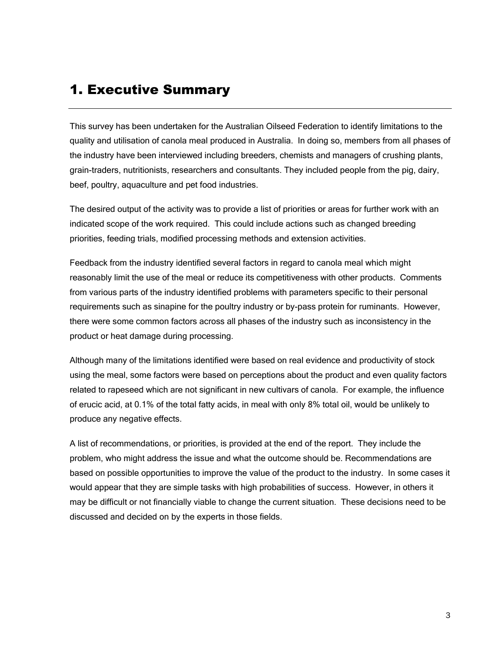### 1. Executive Summary

This survey has been undertaken for the Australian Oilseed Federation to identify limitations to the quality and utilisation of canola meal produced in Australia. In doing so, members from all phases of the industry have been interviewed including breeders, chemists and managers of crushing plants, grain-traders, nutritionists, researchers and consultants. They included people from the pig, dairy, beef, poultry, aquaculture and pet food industries.

The desired output of the activity was to provide a list of priorities or areas for further work with an indicated scope of the work required. This could include actions such as changed breeding priorities, feeding trials, modified processing methods and extension activities.

Feedback from the industry identified several factors in regard to canola meal which might reasonably limit the use of the meal or reduce its competitiveness with other products. Comments from various parts of the industry identified problems with parameters specific to their personal requirements such as sinapine for the poultry industry or by-pass protein for ruminants. However, there were some common factors across all phases of the industry such as inconsistency in the product or heat damage during processing.

Although many of the limitations identified were based on real evidence and productivity of stock using the meal, some factors were based on perceptions about the product and even quality factors related to rapeseed which are not significant in new cultivars of canola. For example, the influence of erucic acid, at 0.1% of the total fatty acids, in meal with only 8% total oil, would be unlikely to produce any negative effects.

A list of recommendations, or priorities, is provided at the end of the report. They include the problem, who might address the issue and what the outcome should be. Recommendations are based on possible opportunities to improve the value of the product to the industry. In some cases it would appear that they are simple tasks with high probabilities of success. However, in others it may be difficult or not financially viable to change the current situation. These decisions need to be discussed and decided on by the experts in those fields.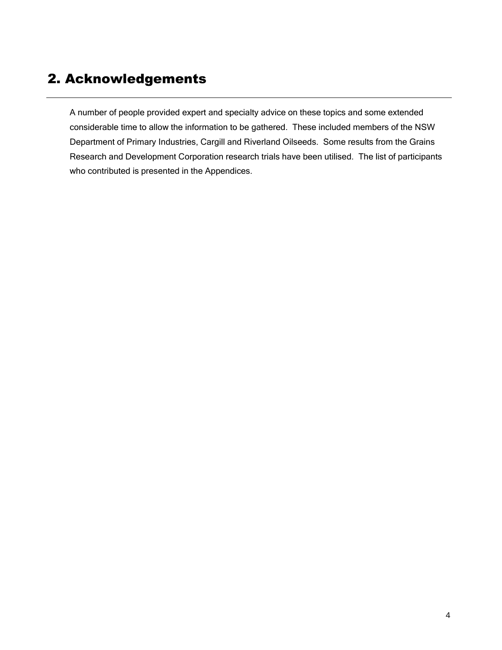### 2. Acknowledgements

A number of people provided expert and specialty advice on these topics and some extended considerable time to allow the information to be gathered. These included members of the NSW Department of Primary Industries, Cargill and Riverland Oilseeds. Some results from the Grains Research and Development Corporation research trials have been utilised. The list of participants who contributed is presented in the Appendices.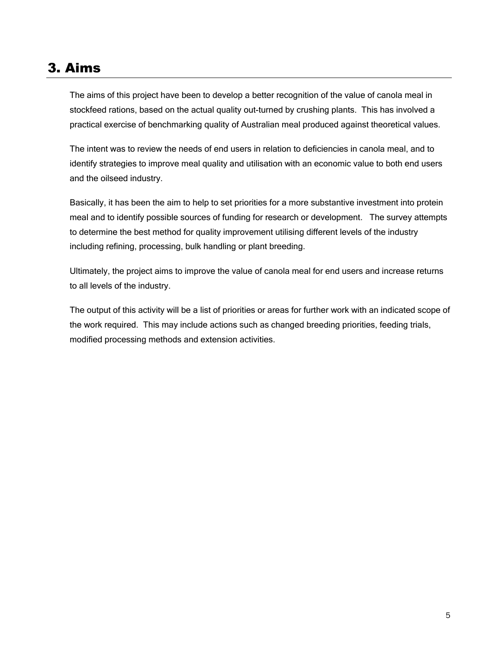### 3. Aims

The aims of this project have been to develop a better recognition of the value of canola meal in stockfeed rations, based on the actual quality out-turned by crushing plants. This has involved a practical exercise of benchmarking quality of Australian meal produced against theoretical values.

The intent was to review the needs of end users in relation to deficiencies in canola meal, and to identify strategies to improve meal quality and utilisation with an economic value to both end users and the oilseed industry.

Basically, it has been the aim to help to set priorities for a more substantive investment into protein meal and to identify possible sources of funding for research or development. The survey attempts to determine the best method for quality improvement utilising different levels of the industry including refining, processing, bulk handling or plant breeding.

Ultimately, the project aims to improve the value of canola meal for end users and increase returns to all levels of the industry.

The output of this activity will be a list of priorities or areas for further work with an indicated scope of the work required. This may include actions such as changed breeding priorities, feeding trials, modified processing methods and extension activities.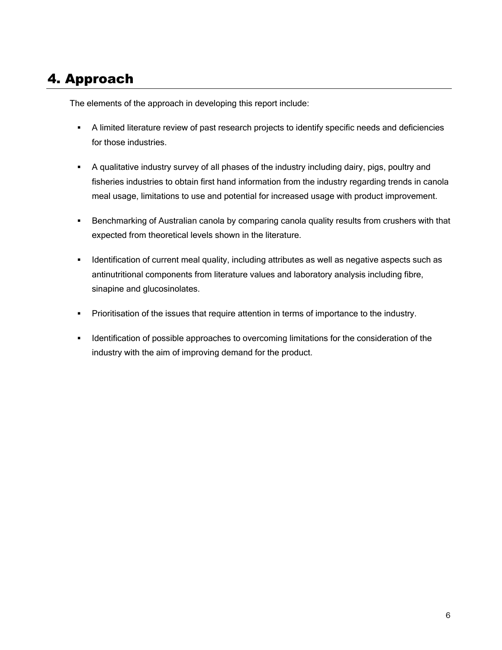### 4. Approach

The elements of the approach in developing this report include:

- A limited literature review of past research projects to identify specific needs and deficiencies for those industries.
- A qualitative industry survey of all phases of the industry including dairy, pigs, poultry and fisheries industries to obtain first hand information from the industry regarding trends in canola meal usage, limitations to use and potential for increased usage with product improvement.
- Benchmarking of Australian canola by comparing canola quality results from crushers with that expected from theoretical levels shown in the literature.
- **IDENTIFY IDENTIFY IDENTIFY IS A LOCATE THE META** identification of current meal quality, including attributes as well as negative aspects such as antinutritional components from literature values and laboratory analysis including fibre, sinapine and glucosinolates.
- **Prioritisation of the issues that require attention in terms of importance to the industry.**
- **IDENTIFY IDENTIFY IS A LOCATE A** identification of the sponsideration of the separation of the industry with the aim of improving demand for the product.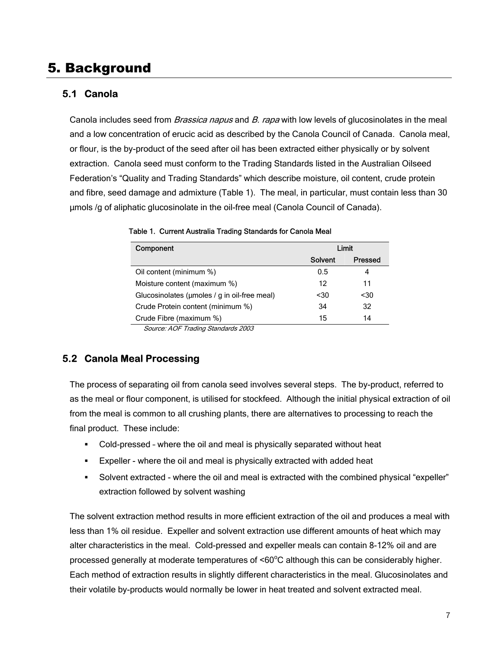### 5. Background

#### **5.1 Canola**

Canola includes seed from *Brassica napus* and B. rapa with low levels of glucosinolates in the meal and a low concentration of erucic acid as described by the Canola Council of Canada. Canola meal, or flour, is the by-product of the seed after oil has been extracted either physically or by solvent extraction. Canola seed must conform to the Trading Standards listed in the Australian Oilseed Federation's "Quality and Trading Standards" which describe moisture, oil content, crude protein and fibre, seed damage and admixture (Table 1). The meal, in particular, must contain less than 30 µmols /g of aliphatic glucosinolate in the oil-free meal (Canola Council of Canada).

| Component                                    |         | Limit          |
|----------------------------------------------|---------|----------------|
|                                              | Solvent | <b>Pressed</b> |
| Oil content (minimum %)                      | 0.5     | 4              |
| Moisture content (maximum %)                 | 12      | 11             |
| Glucosinolates (umoles / g in oil-free meal) | $30$    | $30$           |
| Crude Protein content (minimum %)            | 34      | 32             |
| Crude Fibre (maximum %)                      | 15      | 14             |
| $0.$ $1055.$ $1.01.$                         |         |                |

Table 1. Current Australia Trading Standards for Canola Meal

Source: AOF Trading Standards 2003

#### **5.2 Canola Meal Processing**

The process of separating oil from canola seed involves several steps. The by-product, referred to as the meal or flour component, is utilised for stockfeed. Although the initial physical extraction of oil from the meal is common to all crushing plants, there are alternatives to processing to reach the final product. These include:

- Cold-pressed where the oil and meal is physically separated without heat
- Expeller where the oil and meal is physically extracted with added heat
- Solvent extracted where the oil and meal is extracted with the combined physical "expeller" extraction followed by solvent washing

The solvent extraction method results in more efficient extraction of the oil and produces a meal with less than 1% oil residue. Expeller and solvent extraction use different amounts of heat which may alter characteristics in the meal. Cold-pressed and expeller meals can contain 8-12% oil and are processed generally at moderate temperatures of  $\leq 60^{\circ}$ C although this can be considerably higher. Each method of extraction results in slightly different characteristics in the meal. Glucosinolates and their volatile by-products would normally be lower in heat treated and solvent extracted meal.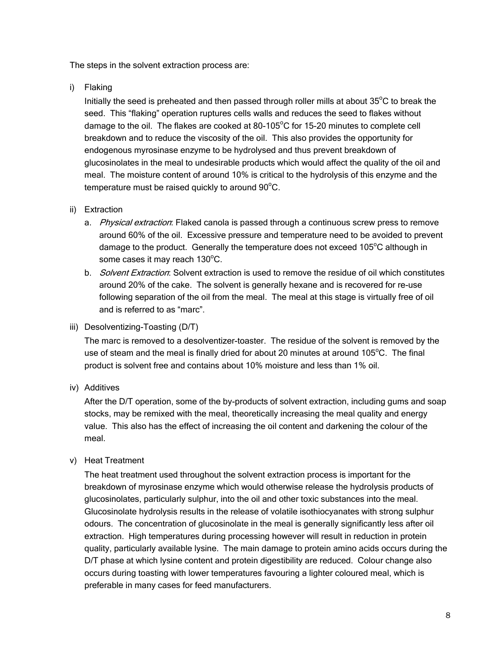The steps in the solvent extraction process are:

i) Flaking

Initially the seed is preheated and then passed through roller mills at about  $35^{\circ}$ C to break the seed. This "flaking" operation ruptures cells walls and reduces the seed to flakes without damage to the oil. The flakes are cooked at 80-105°C for 15-20 minutes to complete cell breakdown and to reduce the viscosity of the oil. This also provides the opportunity for endogenous myrosinase enzyme to be hydrolysed and thus prevent breakdown of glucosinolates in the meal to undesirable products which would affect the quality of the oil and meal. The moisture content of around 10% is critical to the hydrolysis of this enzyme and the temperature must be raised quickly to around  $90^{\circ}$ C.

#### ii) Extraction

- a. *Physical extraction*: Flaked canola is passed through a continuous screw press to remove around 60% of the oil. Excessive pressure and temperature need to be avoided to prevent damage to the product. Generally the temperature does not exceed  $105^{\circ}$ C although in some cases it may reach 130°C.
- b. Solvent Extraction: Solvent extraction is used to remove the residue of oil which constitutes around 20% of the cake. The solvent is generally hexane and is recovered for re-use following separation of the oil from the meal. The meal at this stage is virtually free of oil and is referred to as "marc".
- iii) Desolventizing-Toasting (D/T)

The marc is removed to a desolventizer-toaster. The residue of the solvent is removed by the use of steam and the meal is finally dried for about 20 minutes at around 105°C. The final product is solvent free and contains about 10% moisture and less than 1% oil.

iv) Additives

After the D/T operation, some of the by-products of solvent extraction, including gums and soap stocks, may be remixed with the meal, theoretically increasing the meal quality and energy value. This also has the effect of increasing the oil content and darkening the colour of the meal.

#### v) Heat Treatment

The heat treatment used throughout the solvent extraction process is important for the breakdown of myrosinase enzyme which would otherwise release the hydrolysis products of glucosinolates, particularly sulphur, into the oil and other toxic substances into the meal. Glucosinolate hydrolysis results in the release of volatile isothiocyanates with strong sulphur odours. The concentration of glucosinolate in the meal is generally significantly less after oil extraction. High temperatures during processing however will result in reduction in protein quality, particularly available lysine. The main damage to protein amino acids occurs during the D/T phase at which lysine content and protein digestibility are reduced. Colour change also occurs during toasting with lower temperatures favouring a lighter coloured meal, which is preferable in many cases for feed manufacturers.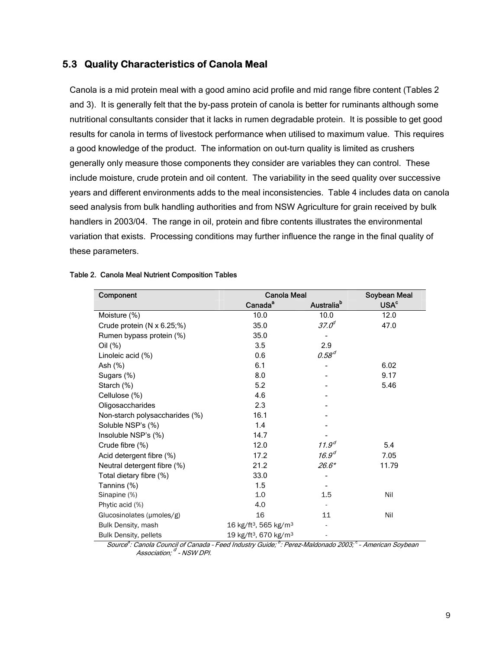#### **5.3 Quality Characteristics of Canola Meal**

Canola is a mid protein meal with a good amino acid profile and mid range fibre content (Tables 2 and 3). It is generally felt that the by-pass protein of canola is better for ruminants although some nutritional consultants consider that it lacks in rumen degradable protein. It is possible to get good results for canola in terms of livestock performance when utilised to maximum value. This requires a good knowledge of the product. The information on out-turn quality is limited as crushers generally only measure those components they consider are variables they can control. These include moisture, crude protein and oil content. The variability in the seed quality over successive years and different environments adds to the meal inconsistencies. Table 4 includes data on canola seed analysis from bulk handling authorities and from NSW Agriculture for grain received by bulk handlers in 2003/04. The range in oil, protein and fibre contents illustrates the environmental variation that exists. Processing conditions may further influence the range in the final quality of these parameters.

| Component                         | <b>Canola Meal</b>                            |                        | Soybean Meal           |
|-----------------------------------|-----------------------------------------------|------------------------|------------------------|
|                                   | Canada <sup>a</sup>                           | Australia <sup>b</sup> | <b>USA<sup>c</sup></b> |
| Moisture (%)                      | 10.0                                          | 10.0                   | 12.0                   |
| Crude protein $(N \times 6.25;%)$ | 35.0                                          | 37.0 <sup>d</sup>      | 47.0                   |
| Rumen bypass protein (%)          | 35.0                                          |                        |                        |
| Oil (%)                           | 3.5                                           | 2.9                    |                        |
| Linoleic acid (%)                 | 0.6                                           | $0.58^{d}$             |                        |
| Ash $(%)$                         | 6.1                                           |                        | 6.02                   |
| Sugars (%)                        | 8.0                                           |                        | 9.17                   |
| Starch (%)                        | 5.2                                           |                        | 5.46                   |
| Cellulose (%)                     | 4.6                                           |                        |                        |
| Oligosaccharides                  | 2.3                                           |                        |                        |
| Non-starch polysaccharides (%)    | 16.1                                          |                        |                        |
| Soluble NSP's (%)                 | 1.4                                           |                        |                        |
| Insoluble NSP's (%)               | 14.7                                          |                        |                        |
| Crude fibre (%)                   | 12.0                                          | 11.9 <sup>d</sup>      | 5.4                    |
| Acid detergent fibre (%)          | 17.2                                          | 16.9 <sup>d</sup>      | 7.05                   |
| Neutral detergent fibre (%)       | 21.2                                          | $26.6*$                | 11.79                  |
| Total dietary fibre (%)           | 33.0                                          |                        |                        |
| Tannins (%)                       | 1.5                                           |                        |                        |
| Sinapine (%)                      | 1.0                                           | 1.5                    | Nil                    |
| Phytic acid (%)                   | 4.0                                           |                        |                        |
| Glucosinolates (µmoles/g)         | 16                                            | 11                     | Nil                    |
| Bulk Density, mash                | 16 kg/ft <sup>3</sup> , 565 kg/m <sup>3</sup> |                        |                        |
| <b>Bulk Density, pellets</b>      | 19 kg/ft <sup>3</sup> , 670 kg/m <sup>3</sup> |                        |                        |

#### Table 2. Canola Meal Nutrient Composition Tables

Source<sup>a</sup>: Canola Council of Canada - Feed Industry Guide; <sup>b</sup>: Perez-Maldonado 2003; <sup>c</sup> - American Soybean Association:  $^d$  - NSW DPI.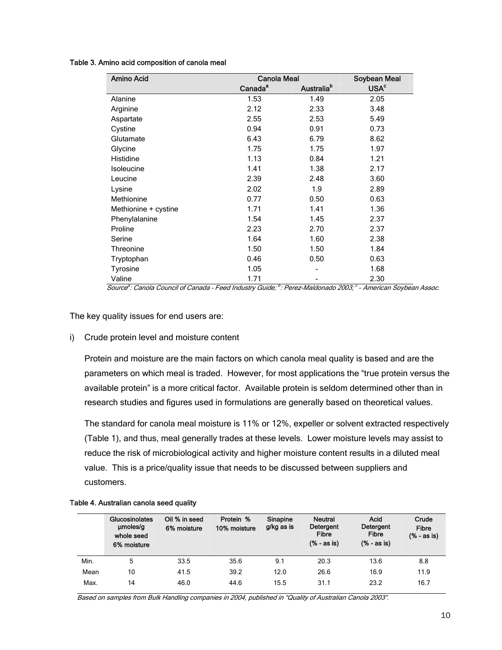#### Table 3. Amino acid composition of canola meal

| Amino Acid           | Canola Meal         | Soybean Meal           |                        |
|----------------------|---------------------|------------------------|------------------------|
|                      | Canada <sup>a</sup> | Australia <sup>b</sup> | <b>USA<sup>c</sup></b> |
| Alanine              | 1.53                | 1.49                   | 2.05                   |
| Arginine             | 2.12                | 2.33                   | 3.48                   |
| Aspartate            | 2.55                | 2.53                   | 5.49                   |
| Cystine              | 0.94                | 0.91                   | 0.73                   |
| Glutamate            | 6.43                | 6.79                   | 8.62                   |
| Glycine              | 1.75                | 1.75                   | 1.97                   |
| Histidine            | 1.13                | 0.84                   | 1.21                   |
| Isoleucine           | 1.41                | 1.38                   | 2.17                   |
| Leucine              | 2.39                | 2.48                   | 3.60                   |
| Lysine               | 2.02                | 1.9                    | 2.89                   |
| Methionine           | 0.77                | 0.50                   | 0.63                   |
| Methionine + cystine | 1.71                | 1.41                   | 1.36                   |
| Phenylalanine        | 1.54                | 1.45                   | 2.37                   |
| Proline              | 2.23                | 2.70                   | 2.37                   |
| Serine               | 1.64                | 1.60                   | 2.38                   |
| Threonine            | 1.50                | 1.50                   | 1.84                   |
| Tryptophan           | 0.46                | 0.50                   | 0.63                   |
| Tyrosine             | 1.05                |                        | 1.68                   |
| Valine               | 1.71                |                        | 2.30                   |

Source<sup>a</sup>: Canola Council of Canada - Feed Industry Guide; <sup>b</sup>: Perez-Maldonado 2003; <sup>c</sup> - American Soybean Assoc.

The key quality issues for end users are:

#### i) Crude protein level and moisture content

Protein and moisture are the main factors on which canola meal quality is based and are the parameters on which meal is traded. However, for most applications the "true protein versus the available protein" is a more critical factor. Available protein is seldom determined other than in research studies and figures used in formulations are generally based on theoretical values.

The standard for canola meal moisture is 11% or 12%, expeller or solvent extracted respectively (Table 1), and thus, meal generally trades at these levels. Lower moisture levels may assist to reduce the risk of microbiological activity and higher moisture content results in a diluted meal value. This is a price/quality issue that needs to be discussed between suppliers and customers.

|      | Glucosinolates<br>µmoles/q<br>whole seed<br>6% moisture | Oil % in seed<br>6% moisture | Protein %<br>10% moisture | Sinapine<br>g/kg as is | <b>Neutral</b><br>Detergent<br><b>Fibre</b><br>$(% - as is)$ | Acid<br>Detergent<br><b>Fibre</b><br>$(% - as is)$ | Crude<br><b>Fibre</b><br>$(% - as is)$ |
|------|---------------------------------------------------------|------------------------------|---------------------------|------------------------|--------------------------------------------------------------|----------------------------------------------------|----------------------------------------|
| Min. | 5                                                       | 33.5                         | 35.6                      | 9.1                    | 20.3                                                         | 13.6                                               | 8.8                                    |
| Mean | 10                                                      | 41.5                         | 39.2                      | 12.0                   | 26.6                                                         | 16.9                                               | 11.9                                   |
| Max. | 14                                                      | 46.0                         | 44.6                      | 15.5                   | 31.1                                                         | 23.2                                               | 16.7                                   |

#### Table 4. Australian canola seed quality

Based on samples from Bulk Handling companies in 2004, published in "Quality of Australian Canola 2003".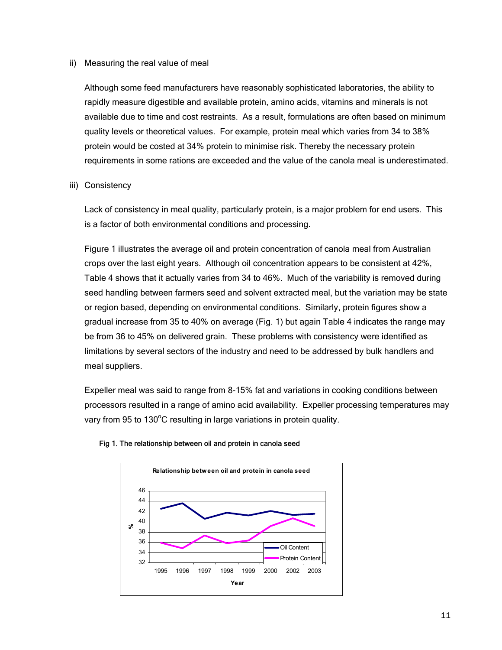#### ii) Measuring the real value of meal

Although some feed manufacturers have reasonably sophisticated laboratories, the ability to rapidly measure digestible and available protein, amino acids, vitamins and minerals is not available due to time and cost restraints. As a result, formulations are often based on minimum quality levels or theoretical values. For example, protein meal which varies from 34 to 38% protein would be costed at 34% protein to minimise risk. Thereby the necessary protein requirements in some rations are exceeded and the value of the canola meal is underestimated.

#### iii) Consistency

Lack of consistency in meal quality, particularly protein, is a major problem for end users. This is a factor of both environmental conditions and processing.

Figure 1 illustrates the average oil and protein concentration of canola meal from Australian crops over the last eight years. Although oil concentration appears to be consistent at 42%, Table 4 shows that it actually varies from 34 to 46%. Much of the variability is removed during seed handling between farmers seed and solvent extracted meal, but the variation may be state or region based, depending on environmental conditions. Similarly, protein figures show a gradual increase from 35 to 40% on average (Fig. 1) but again Table 4 indicates the range may be from 36 to 45% on delivered grain. These problems with consistency were identified as limitations by several sectors of the industry and need to be addressed by bulk handlers and meal suppliers.

Expeller meal was said to range from 8-15% fat and variations in cooking conditions between processors resulted in a range of amino acid availability. Expeller processing temperatures may vary from 95 to 130°C resulting in large variations in protein quality.



#### Fig 1. The relationship between oil and protein in canola seed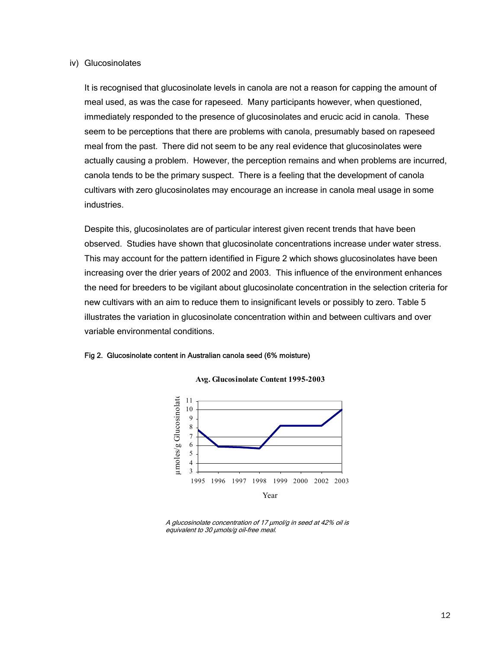#### iv) Glucosinolates

It is recognised that glucosinolate levels in canola are not a reason for capping the amount of meal used, as was the case for rapeseed. Many participants however, when questioned, immediately responded to the presence of glucosinolates and erucic acid in canola. These seem to be perceptions that there are problems with canola, presumably based on rapeseed meal from the past. There did not seem to be any real evidence that glucosinolates were actually causing a problem. However, the perception remains and when problems are incurred, canola tends to be the primary suspect. There is a feeling that the development of canola cultivars with zero glucosinolates may encourage an increase in canola meal usage in some industries.

Despite this, glucosinolates are of particular interest given recent trends that have been observed. Studies have shown that glucosinolate concentrations increase under water stress. This may account for the pattern identified in Figure 2 which shows glucosinolates have been increasing over the drier years of 2002 and 2003. This influence of the environment enhances the need for breeders to be vigilant about glucosinolate concentration in the selection criteria for new cultivars with an aim to reduce them to insignificant levels or possibly to zero. Table 5 illustrates the variation in glucosinolate concentration within and between cultivars and over variable environmental conditions.

#### Fig 2. Glucosinolate content in Australian canola seed (6% moisture)



**Avg. Glucosinolate Content 1995-2003**

A glucosinolate concentration of 17 µmol/g in seed at 42% oil is equivalent to 30  $\mu$ mols/g oil-free meal.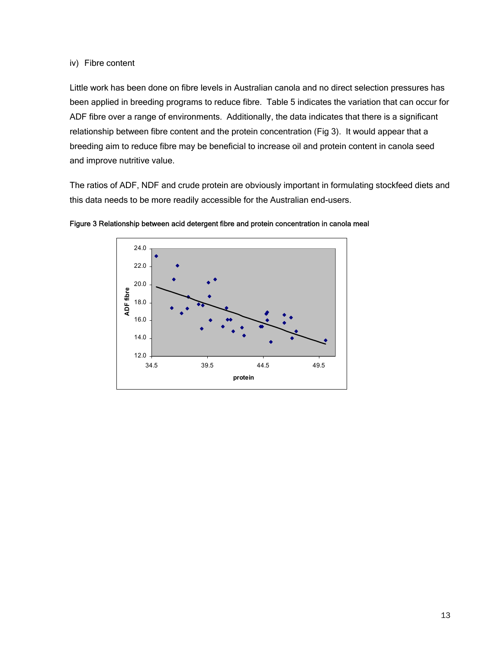#### iv) Fibre content

Little work has been done on fibre levels in Australian canola and no direct selection pressures has been applied in breeding programs to reduce fibre. Table 5 indicates the variation that can occur for ADF fibre over a range of environments. Additionally, the data indicates that there is a significant relationship between fibre content and the protein concentration (Fig 3). It would appear that a breeding aim to reduce fibre may be beneficial to increase oil and protein content in canola seed and improve nutritive value.

The ratios of ADF, NDF and crude protein are obviously important in formulating stockfeed diets and this data needs to be more readily accessible for the Australian end-users.



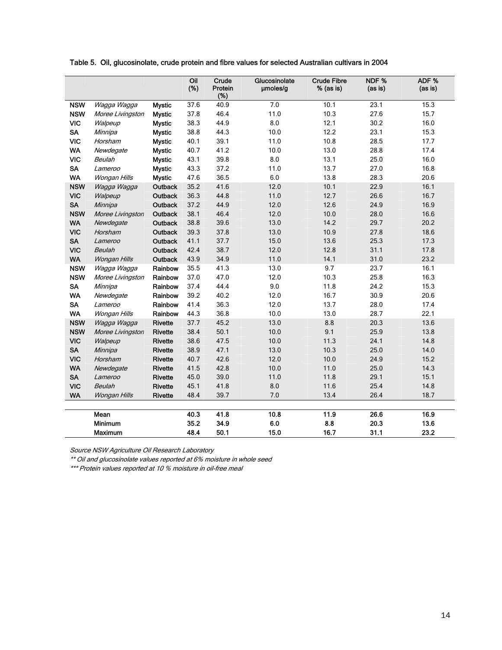| Table 5. Oil, glucosinolate, crude protein and fibre values for selected Australian cultivars in 2004 |  |
|-------------------------------------------------------------------------------------------------------|--|
|-------------------------------------------------------------------------------------------------------|--|

|            |                  |                | Oil<br>(%) | Crude<br>Protein<br>(%) | Glucosinolate<br>umoles/g | <b>Crude Fibre</b><br>% (as is) | NDF%<br>(as is) | ADF %<br>(as is) |
|------------|------------------|----------------|------------|-------------------------|---------------------------|---------------------------------|-----------------|------------------|
| <b>NSW</b> | Wagga Wagga      | <b>Mystic</b>  | 37.6       | 40.9                    | 7.0                       | 10.1                            | 23.1            | 15.3             |
| <b>NSW</b> | Moree Livingston | <b>Mystic</b>  | 37.8       | 46.4                    | 11.0                      |                                 | 27.6            | 15.7             |
| <b>VIC</b> | Walpeup          | <b>Mystic</b>  | 38.3       | 44.9                    | 8.0                       | 12.1                            | 30.2            | 16.0             |
| <b>SA</b>  | Minnipa          | <b>Mystic</b>  | 38.8       | 44.3                    | 10.0                      | 12.2                            | 23.1            | 15.3             |
| <b>VIC</b> | Horsham          | <b>Mystic</b>  | 40.1       | 39.1                    | 11.0                      | 10.8                            | 28.5            | 17.7             |
| <b>WA</b>  | Newdegate        | <b>Mystic</b>  | 40.7       | 41.2                    | 10.0                      | 13.0                            | 28.8            | 17.4             |
| <b>VIC</b> | Beulah           | <b>Mystic</b>  | 43.1       | 39.8                    | 8.0                       | 13.1                            | 25.0            | 16.0             |
| <b>SA</b>  | Lameroo          | <b>Mystic</b>  | 43.3       | 37.2                    | 11.0                      | 13.7                            | 27.0            | 16.8             |
| <b>WA</b>  | Wongan Hills     | <b>Mystic</b>  | 47.6       | 36.5                    | 6.0                       | 13.8                            | 28.3            | 20.6             |
| <b>NSW</b> | Wagga Wagga      | <b>Outback</b> | 35.2       | 41.6                    | 12.0                      | 10.1                            | 22.9            | 16.1             |
| <b>VIC</b> | Walpeup          | <b>Outback</b> | 36.3       | 44.8                    | 11.0                      | 12.7                            | 26.6            | 16.7             |
| <b>SA</b>  | Minnipa          | Outback        | 37.2       | 44.9                    | 12.0                      | 12.6                            | 24.9            | 16.9             |
| <b>NSW</b> | Moree Livingston | <b>Outback</b> | 38.1       | 46.4                    | 12.0                      | 10.0                            | 28.0            | 16.6             |
| <b>WA</b>  | Newdegate        | Outback        | 38.8       | 39.6                    | 13.0                      | 14.2                            | 29.7            | 20.2             |
| <b>VIC</b> | Horsham          | Outback        | 39.3       | 37.8                    | 13.0                      | 10.9                            | 27.8            | 18.6             |
| <b>SA</b>  | Lameroo          | <b>Outback</b> | 41.1       | 37.7                    | 15.0                      | 13.6                            | 25.3            | 17.3             |
| <b>VIC</b> | Beulah           | <b>Outback</b> | 42.4       | 38.7                    | 12.0                      | 12.8                            | 31.1            | 17.8             |
| <b>WA</b>  | Wongan Hills     | Outback        | 43.9       | 34.9                    | 11.0                      | 14.1                            | 31.0            | 23.2             |
| <b>NSW</b> | Wagga Wagga      | Rainbow        | 35.5       | 41.3                    | 13.0                      | 9.7                             | 23.7            | 16.1             |
| <b>NSW</b> | Moree Livingston | Rainbow        | 37.0       | 47.0                    | 12.0                      | 10.3                            | 25.8            | 16.3             |
| <b>SA</b>  | Minnipa          | Rainbow        | 37.4       | 44.4                    | 9.0                       | 11.8                            | 24.2            | 15.3             |
| <b>WA</b>  | Newdegate        | Rainbow        | 39.2       | 40.2                    | 12.0                      | 16.7                            | 30.9            | 20.6             |
| <b>SA</b>  | Lameroo          | Rainbow        | 41.4       | 36.3                    | 12.0                      | 13.7                            | 28.0            | 17.4             |
| <b>WA</b>  | Wongan Hills     | Rainbow        | 44.3       | 36.8                    | 10.0                      | 13.0                            | 28.7            | 22.1             |
| <b>NSW</b> | Wagga Wagga      | <b>Rivette</b> | 37.7       | 45.2                    | 13.0                      | 8.8                             | 20.3            | 13.6             |
| <b>NSW</b> | Moree Livingston | <b>Rivette</b> | 38.4       | 50.1                    | 10.0                      | 9.1                             | 25.9            | 13.8             |
| <b>VIC</b> | Walpeup          | <b>Rivette</b> | 38.6       | 47.5                    | 10.0                      | 11.3                            | 24.1            | 14.8             |
| <b>SA</b>  | Minnipa          | <b>Rivette</b> | 38.9       | 47.1                    | 13.0                      | 10.3                            | 25.0            | 14.0             |
| <b>VIC</b> | Horsham          | <b>Rivette</b> | 40.7       | 42.6                    | 12.0                      | 10.0                            | 24.9            | 15.2             |
| <b>WA</b>  | Newdegate        | <b>Rivette</b> | 41.5       | 42.8                    | 10.0                      | 11.0                            | 25.0            | 14.3             |
| <b>SA</b>  | Lameroo          | Rivette        | 45.0       | 39.0                    | 11.0                      | 11.8                            | 29.1            | 15.1             |
| <b>VIC</b> | Beulah           | <b>Rivette</b> | 45.1       | 41.8                    | 8.0                       | 11.6                            | 25.4            | 14.8             |
| <b>WA</b>  | Wongan Hills     | <b>Rivette</b> | 48.4       | 39.7                    | 7.0                       | 13.4                            | 26.4            | 18.7             |
|            |                  |                |            |                         |                           |                                 |                 |                  |
|            | Mean             |                | 40.3       | 41.8                    | 10.8                      | 11.9                            | 26.6            | 16.9             |
|            | Minimum          |                | 35.2       | 34.9                    | 6.0                       | 8.8                             | 20.3            | 13.6             |
|            | <b>Maximum</b>   |                | 48.4       | 50.1                    | 15.0                      | 16.7                            | 31.1            | 23.2             |

Source NSW Agriculture Oil Research Laboratory

\*\* Oil and glucosinolate values reported at 6% moisture in whole seed

\*\*\* Protein values reported at 10 % moisture in oil-free meal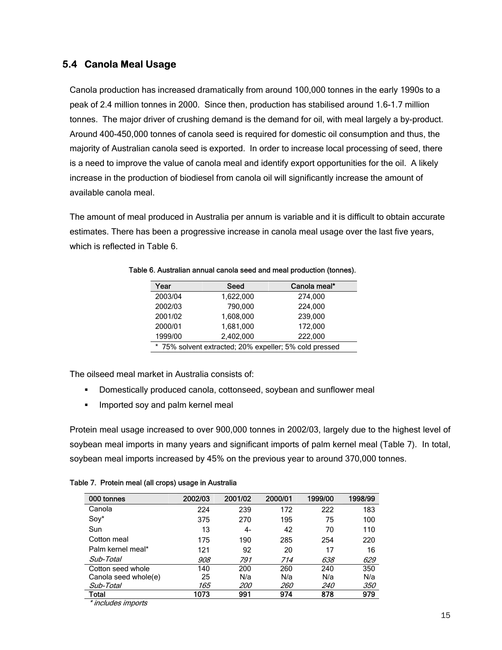#### **5.4 Canola Meal Usage**

Canola production has increased dramatically from around 100,000 tonnes in the early 1990s to a peak of 2.4 million tonnes in 2000. Since then, production has stabilised around 1.6-1.7 million tonnes. The major driver of crushing demand is the demand for oil, with meal largely a by-product. Around 400-450,000 tonnes of canola seed is required for domestic oil consumption and thus, the majority of Australian canola seed is exported. In order to increase local processing of seed, there is a need to improve the value of canola meal and identify export opportunities for the oil. A likely increase in the production of biodiesel from canola oil will significantly increase the amount of available canola meal.

The amount of meal produced in Australia per annum is variable and it is difficult to obtain accurate estimates. There has been a progressive increase in canola meal usage over the last five years, which is reflected in Table 6.

| Year                                                   | Seed      | Canola meal* |  |  |  |
|--------------------------------------------------------|-----------|--------------|--|--|--|
| 2003/04                                                | 1,622,000 | 274,000      |  |  |  |
| 2002/03                                                | 790,000   | 224.000      |  |  |  |
| 2001/02                                                | 1,608,000 | 239,000      |  |  |  |
| 2000/01                                                | 1,681,000 | 172,000      |  |  |  |
| 1999/00                                                | 2,402,000 | 222.000      |  |  |  |
| * 75% solvent extracted; 20% expeller; 5% cold pressed |           |              |  |  |  |

Table 6. Australian annual canola seed and meal production (tonnes).

The oilseed meal market in Australia consists of:

- Domestically produced canola, cottonseed, soybean and sunflower meal
- **IMPORTED SOLUTE:** Imported soy and palm kernel meal

Protein meal usage increased to over 900,000 tonnes in 2002/03, largely due to the highest level of soybean meal imports in many years and significant imports of palm kernel meal (Table 7). In total, soybean meal imports increased by 45% on the previous year to around 370,000 tonnes.

| 000 tonnes           | 2002/03 | 2001/02    | 2000/01    | 1999/00    | 1998/99    |
|----------------------|---------|------------|------------|------------|------------|
| Canola               | 224     | 239        | 172        | 222        | 183        |
| Soy*                 | 375     | 270        | 195        | 75         | 100        |
| Sun                  | 13      | 4-         | 42         | 70         | 110        |
| Cotton meal          | 175     | 190        | 285        | 254        | 220        |
| Palm kernel meal*    | 121     | 92         | 20         | 17         | 16         |
| Sub-Total            | 908     | 791        | 714        | 638        | 629        |
| Cotton seed whole    | 140     | 200        | 260        | 240        | 350        |
| Canola seed whole(e) | 25      | N/a        | N/a        | N/a        | N/a        |
| Sub-Total            | 165     | <i>200</i> | <i>260</i> | <i>240</i> | <i>350</i> |
| Total                | 1073    | 991        | 974        | 878        | 979        |

\* includes imports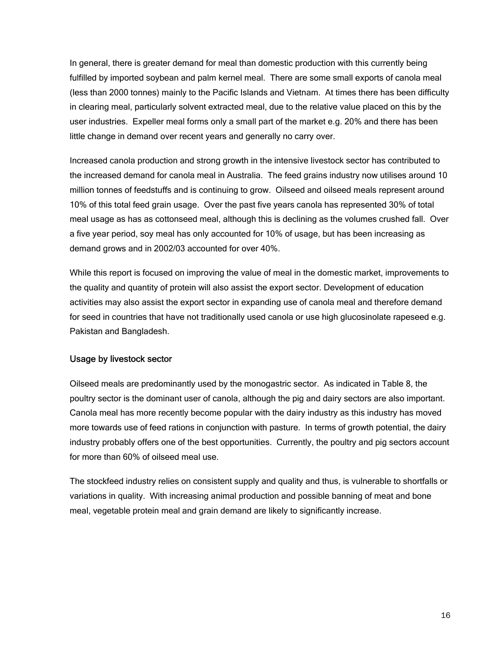In general, there is greater demand for meal than domestic production with this currently being fulfilled by imported soybean and palm kernel meal. There are some small exports of canola meal (less than 2000 tonnes) mainly to the Pacific Islands and Vietnam. At times there has been difficulty in clearing meal, particularly solvent extracted meal, due to the relative value placed on this by the user industries. Expeller meal forms only a small part of the market e.g. 20% and there has been little change in demand over recent years and generally no carry over.

Increased canola production and strong growth in the intensive livestock sector has contributed to the increased demand for canola meal in Australia. The feed grains industry now utilises around 10 million tonnes of feedstuffs and is continuing to grow. Oilseed and oilseed meals represent around 10% of this total feed grain usage. Over the past five years canola has represented 30% of total meal usage as has as cottonseed meal, although this is declining as the volumes crushed fall. Over a five year period, soy meal has only accounted for 10% of usage, but has been increasing as demand grows and in 2002/03 accounted for over 40%.

While this report is focused on improving the value of meal in the domestic market, improvements to the quality and quantity of protein will also assist the export sector. Development of education activities may also assist the export sector in expanding use of canola meal and therefore demand for seed in countries that have not traditionally used canola or use high glucosinolate rapeseed e.g. Pakistan and Bangladesh.

#### Usage by livestock sector

Oilseed meals are predominantly used by the monogastric sector. As indicated in Table 8, the poultry sector is the dominant user of canola, although the pig and dairy sectors are also important. Canola meal has more recently become popular with the dairy industry as this industry has moved more towards use of feed rations in conjunction with pasture. In terms of growth potential, the dairy industry probably offers one of the best opportunities. Currently, the poultry and pig sectors account for more than 60% of oilseed meal use.

The stockfeed industry relies on consistent supply and quality and thus, is vulnerable to shortfalls or variations in quality. With increasing animal production and possible banning of meat and bone meal, vegetable protein meal and grain demand are likely to significantly increase.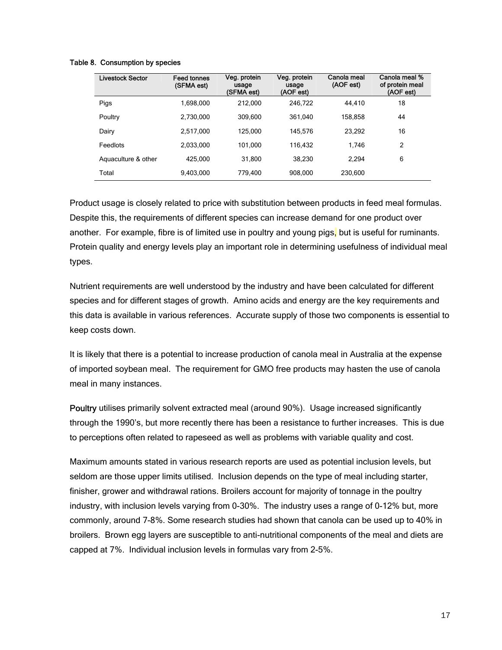#### Table 8. Consumption by species

| <b>Livestock Sector</b> | <b>Feed tonnes</b><br>(SFMA est) | Veg. protein<br>usage<br>(SFMA est) | Veg. protein<br>usage<br>(AOF est) | Canola meal<br>(AOF est) | Canola meal %<br>of protein meal<br>(AOF est) |
|-------------------------|----------------------------------|-------------------------------------|------------------------------------|--------------------------|-----------------------------------------------|
| Pigs                    | 1.698.000                        | 212.000                             | 246.722                            | 44.410                   | 18                                            |
| Poultry                 | 2,730,000                        | 309.600                             | 361.040                            | 158,858                  | 44                                            |
| Dairy                   | 2,517,000                        | 125.000                             | 145.576                            | 23,292                   | 16                                            |
| Feedlots                | 2.033.000                        | 101.000                             | 116.432                            | 1.746                    | 2                                             |
| Aquaculture & other     | 425.000                          | 31.800                              | 38,230                             | 2,294                    | 6                                             |
| Total                   | 9,403,000                        | 779.400                             | 908,000                            | 230,600                  |                                               |

Product usage is closely related to price with substitution between products in feed meal formulas. Despite this, the requirements of different species can increase demand for one product over another. For example, fibre is of limited use in poultry and young pigs, but is useful for ruminants. Protein quality and energy levels play an important role in determining usefulness of individual meal types.

Nutrient requirements are well understood by the industry and have been calculated for different species and for different stages of growth. Amino acids and energy are the key requirements and this data is available in various references. Accurate supply of those two components is essential to keep costs down.

It is likely that there is a potential to increase production of canola meal in Australia at the expense of imported soybean meal. The requirement for GMO free products may hasten the use of canola meal in many instances.

Poultry utilises primarily solvent extracted meal (around 90%). Usage increased significantly through the 1990's, but more recently there has been a resistance to further increases. This is due to perceptions often related to rapeseed as well as problems with variable quality and cost.

Maximum amounts stated in various research reports are used as potential inclusion levels, but seldom are those upper limits utilised. Inclusion depends on the type of meal including starter, finisher, grower and withdrawal rations. Broilers account for majority of tonnage in the poultry industry, with inclusion levels varying from 0-30%. The industry uses a range of 0-12% but, more commonly, around 7-8%. Some research studies had shown that canola can be used up to 40% in broilers. Brown egg layers are susceptible to anti-nutritional components of the meal and diets are capped at 7%. Individual inclusion levels in formulas vary from 2-5%.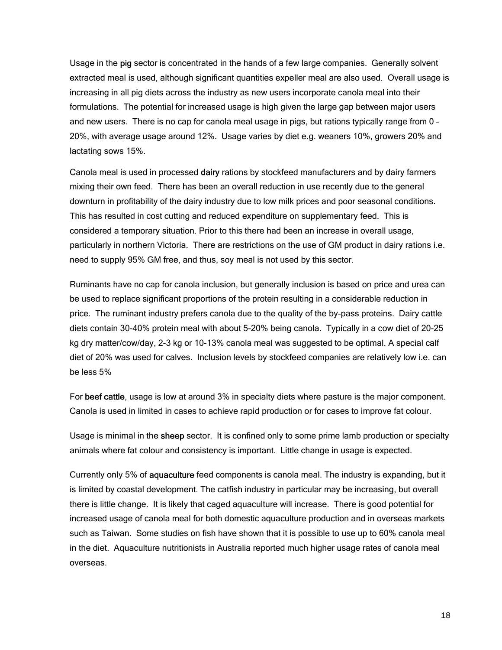Usage in the pig sector is concentrated in the hands of a few large companies. Generally solvent extracted meal is used, although significant quantities expeller meal are also used. Overall usage is increasing in all pig diets across the industry as new users incorporate canola meal into their formulations. The potential for increased usage is high given the large gap between major users and new users. There is no cap for canola meal usage in pigs, but rations typically range from 0 – 20%, with average usage around 12%. Usage varies by diet e.g. weaners 10%, growers 20% and lactating sows 15%.

Canola meal is used in processed dairy rations by stockfeed manufacturers and by dairy farmers mixing their own feed. There has been an overall reduction in use recently due to the general downturn in profitability of the dairy industry due to low milk prices and poor seasonal conditions. This has resulted in cost cutting and reduced expenditure on supplementary feed. This is considered a temporary situation. Prior to this there had been an increase in overall usage, particularly in northern Victoria. There are restrictions on the use of GM product in dairy rations i.e. need to supply 95% GM free, and thus, soy meal is not used by this sector.

Ruminants have no cap for canola inclusion, but generally inclusion is based on price and urea can be used to replace significant proportions of the protein resulting in a considerable reduction in price. The ruminant industry prefers canola due to the quality of the by-pass proteins. Dairy cattle diets contain 30-40% protein meal with about 5-20% being canola. Typically in a cow diet of 20-25 kg dry matter/cow/day, 2-3 kg or 10-13% canola meal was suggested to be optimal. A special calf diet of 20% was used for calves. Inclusion levels by stockfeed companies are relatively low i.e. can be less 5%

For beef cattle, usage is low at around 3% in specialty diets where pasture is the major component. Canola is used in limited in cases to achieve rapid production or for cases to improve fat colour.

Usage is minimal in the sheep sector. It is confined only to some prime lamb production or specialty animals where fat colour and consistency is important. Little change in usage is expected.

Currently only 5% of aquaculture feed components is canola meal. The industry is expanding, but it is limited by coastal development. The catfish industry in particular may be increasing, but overall there is little change. It is likely that caged aquaculture will increase. There is good potential for increased usage of canola meal for both domestic aquaculture production and in overseas markets such as Taiwan. Some studies on fish have shown that it is possible to use up to 60% canola meal in the diet. Aquaculture nutritionists in Australia reported much higher usage rates of canola meal overseas.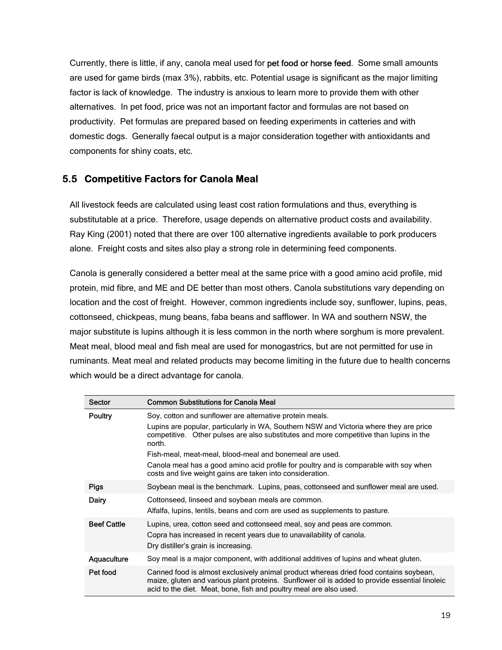Currently, there is little, if any, canola meal used for pet food or horse feed. Some small amounts are used for game birds (max 3%), rabbits, etc. Potential usage is significant as the major limiting factor is lack of knowledge. The industry is anxious to learn more to provide them with other alternatives. In pet food, price was not an important factor and formulas are not based on productivity. Pet formulas are prepared based on feeding experiments in catteries and with domestic dogs. Generally faecal output is a major consideration together with antioxidants and components for shiny coats, etc.

#### **5.5 Competitive Factors for Canola Meal**

All livestock feeds are calculated using least cost ration formulations and thus, everything is substitutable at a price. Therefore, usage depends on alternative product costs and availability. Ray King (2001) noted that there are over 100 alternative ingredients available to pork producers alone. Freight costs and sites also play a strong role in determining feed components.

Canola is generally considered a better meal at the same price with a good amino acid profile, mid protein, mid fibre, and ME and DE better than most others. Canola substitutions vary depending on location and the cost of freight. However, common ingredients include soy, sunflower, lupins, peas, cottonseed, chickpeas, mung beans, faba beans and safflower. In WA and southern NSW, the major substitute is lupins although it is less common in the north where sorghum is more prevalent. Meat meal, blood meal and fish meal are used for monogastrics, but are not permitted for use in ruminants. Meat meal and related products may become limiting in the future due to health concerns which would be a direct advantage for canola.

| Sector             | <b>Common Substitutions for Canola Meal</b>                                                                                                                                                                                                                                                                                                                                                                                                                             |
|--------------------|-------------------------------------------------------------------------------------------------------------------------------------------------------------------------------------------------------------------------------------------------------------------------------------------------------------------------------------------------------------------------------------------------------------------------------------------------------------------------|
| <b>Poultry</b>     | Soy, cotton and sunflower are alternative protein meals.<br>Lupins are popular, particularly in WA, Southern NSW and Victoria where they are price<br>competitive. Other pulses are also substitutes and more competitive than lupins in the<br>north.<br>Fish-meal, meat-meal, blood-meal and bonemeal are used.<br>Canola meal has a good amino acid profile for poultry and is comparable with soy when<br>costs and live weight gains are taken into consideration. |
| <b>Pigs</b>        | Soybean meal is the benchmark. Lupins, peas, cottonseed and sunflower meal are used.                                                                                                                                                                                                                                                                                                                                                                                    |
| Dairy              | Cottonseed, linseed and soybean meals are common.<br>Alfalfa, lupins, lentils, beans and corn are used as supplements to pasture.                                                                                                                                                                                                                                                                                                                                       |
| <b>Beef Cattle</b> | Lupins, urea, cotton seed and cottonseed meal, soy and peas are common.<br>Copra has increased in recent years due to unavailability of canola.<br>Dry distiller's grain is increasing.                                                                                                                                                                                                                                                                                 |
| Aquaculture        | Soy meal is a major component, with additional additives of lupins and wheat gluten.                                                                                                                                                                                                                                                                                                                                                                                    |
| Pet food           | Canned food is almost exclusively animal product whereas dried food contains soybean,<br>maize, gluten and various plant proteins. Sunflower oil is added to provide essential linoleic<br>acid to the diet. Meat, bone, fish and poultry meal are also used.                                                                                                                                                                                                           |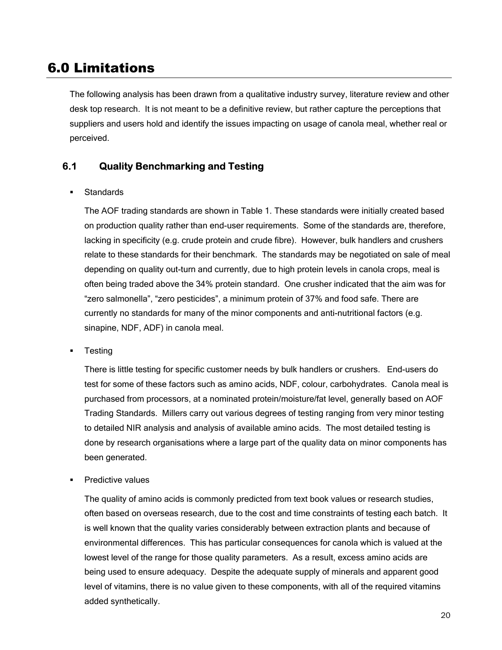### 6.0 Limitations

The following analysis has been drawn from a qualitative industry survey, literature review and other desk top research. It is not meant to be a definitive review, but rather capture the perceptions that suppliers and users hold and identify the issues impacting on usage of canola meal, whether real or perceived.

#### **6.1 Quality Benchmarking and Testing**

#### **Standards**

The AOF trading standards are shown in Table 1. These standards were initially created based on production quality rather than end-user requirements. Some of the standards are, therefore, lacking in specificity (e.g. crude protein and crude fibre). However, bulk handlers and crushers relate to these standards for their benchmark. The standards may be negotiated on sale of meal depending on quality out-turn and currently, due to high protein levels in canola crops, meal is often being traded above the 34% protein standard. One crusher indicated that the aim was for "zero salmonella", "zero pesticides", a minimum protein of 37% and food safe. There are currently no standards for many of the minor components and anti-nutritional factors (e.g. sinapine, NDF, ADF) in canola meal.

**Testing** 

There is little testing for specific customer needs by bulk handlers or crushers. End-users do test for some of these factors such as amino acids, NDF, colour, carbohydrates. Canola meal is purchased from processors, at a nominated protein/moisture/fat level, generally based on AOF Trading Standards. Millers carry out various degrees of testing ranging from very minor testing to detailed NIR analysis and analysis of available amino acids. The most detailed testing is done by research organisations where a large part of the quality data on minor components has been generated.

Predictive values

The quality of amino acids is commonly predicted from text book values or research studies, often based on overseas research, due to the cost and time constraints of testing each batch. It is well known that the quality varies considerably between extraction plants and because of environmental differences. This has particular consequences for canola which is valued at the lowest level of the range for those quality parameters. As a result, excess amino acids are being used to ensure adequacy. Despite the adequate supply of minerals and apparent good level of vitamins, there is no value given to these components, with all of the required vitamins added synthetically.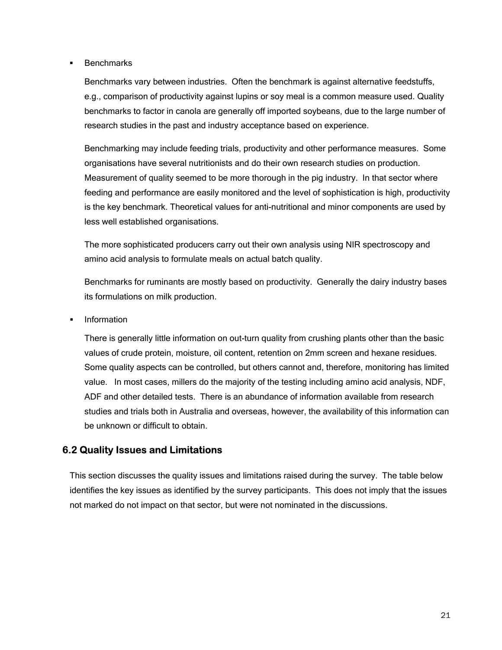#### **Benchmarks**

Benchmarks vary between industries. Often the benchmark is against alternative feedstuffs, e.g., comparison of productivity against lupins or soy meal is a common measure used. Quality benchmarks to factor in canola are generally off imported soybeans, due to the large number of research studies in the past and industry acceptance based on experience.

Benchmarking may include feeding trials, productivity and other performance measures. Some organisations have several nutritionists and do their own research studies on production. Measurement of quality seemed to be more thorough in the pig industry. In that sector where feeding and performance are easily monitored and the level of sophistication is high, productivity is the key benchmark. Theoretical values for anti-nutritional and minor components are used by less well established organisations.

The more sophisticated producers carry out their own analysis using NIR spectroscopy and amino acid analysis to formulate meals on actual batch quality.

Benchmarks for ruminants are mostly based on productivity. Generally the dairy industry bases its formulations on milk production.

Information

There is generally little information on out-turn quality from crushing plants other than the basic values of crude protein, moisture, oil content, retention on 2mm screen and hexane residues. Some quality aspects can be controlled, but others cannot and, therefore, monitoring has limited value. In most cases, millers do the majority of the testing including amino acid analysis, NDF, ADF and other detailed tests. There is an abundance of information available from research studies and trials both in Australia and overseas, however, the availability of this information can be unknown or difficult to obtain.

#### **6.2 Quality Issues and Limitations**

This section discusses the quality issues and limitations raised during the survey. The table below identifies the key issues as identified by the survey participants. This does not imply that the issues not marked do not impact on that sector, but were not nominated in the discussions.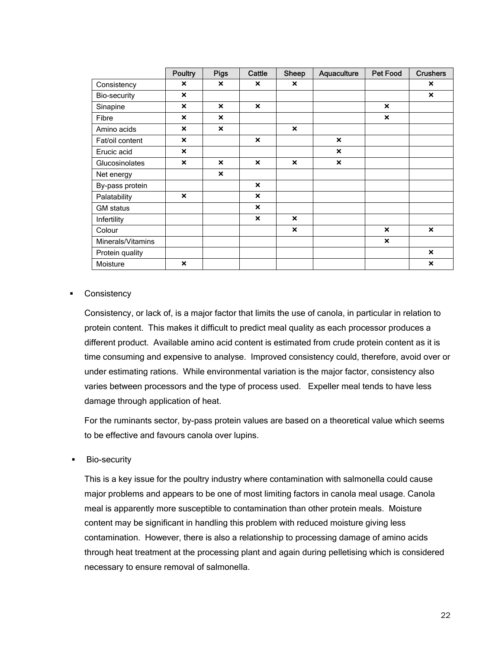|                   | Poultry                   | <b>Pigs</b>               | Cattle                    | Sheep                     | Aquaculture               | <b>Pet Food</b>           | <b>Crushers</b>           |
|-------------------|---------------------------|---------------------------|---------------------------|---------------------------|---------------------------|---------------------------|---------------------------|
| Consistency       | ×                         | $\boldsymbol{\mathsf{x}}$ | ×                         | $\boldsymbol{\mathsf{x}}$ |                           |                           | ×                         |
| Bio-security      | $\boldsymbol{\mathsf{x}}$ |                           |                           |                           |                           |                           | $\boldsymbol{\mathsf{x}}$ |
| Sinapine          | $\boldsymbol{\mathsf{x}}$ | $\boldsymbol{\mathsf{x}}$ | $\boldsymbol{\mathsf{x}}$ |                           |                           | $\boldsymbol{\mathsf{x}}$ |                           |
| Fibre             | $\boldsymbol{\mathsf{x}}$ | $\boldsymbol{\mathsf{x}}$ |                           |                           |                           | $\boldsymbol{\mathsf{x}}$ |                           |
| Amino acids       | $\boldsymbol{\mathsf{x}}$ | $\boldsymbol{\mathsf{x}}$ |                           | $\boldsymbol{\mathsf{x}}$ |                           |                           |                           |
| Fat/oil content   | $\boldsymbol{\mathsf{x}}$ |                           | $\boldsymbol{\mathsf{x}}$ |                           | $\boldsymbol{\mathsf{x}}$ |                           |                           |
| Erucic acid       | $\boldsymbol{\mathsf{x}}$ |                           |                           |                           | $\boldsymbol{\mathsf{x}}$ |                           |                           |
| Glucosinolates    | $\boldsymbol{\mathsf{x}}$ | $\boldsymbol{\mathsf{x}}$ | $\boldsymbol{\mathsf{x}}$ | $\boldsymbol{\mathsf{x}}$ | ×                         |                           |                           |
| Net energy        |                           | $\boldsymbol{\mathsf{x}}$ |                           |                           |                           |                           |                           |
| By-pass protein   |                           |                           | $\boldsymbol{\mathsf{x}}$ |                           |                           |                           |                           |
| Palatability      | $\boldsymbol{\mathsf{x}}$ |                           | $\boldsymbol{\mathsf{x}}$ |                           |                           |                           |                           |
| <b>GM</b> status  |                           |                           | $\boldsymbol{\mathsf{x}}$ |                           |                           |                           |                           |
| Infertility       |                           |                           | $\boldsymbol{\mathsf{x}}$ | $\mathbf x$               |                           |                           |                           |
| Colour            |                           |                           |                           | $\boldsymbol{\mathsf{x}}$ |                           | $\boldsymbol{\mathsf{x}}$ | $\boldsymbol{\mathsf{x}}$ |
| Minerals/Vitamins |                           |                           |                           |                           |                           | $\boldsymbol{\mathsf{x}}$ |                           |
| Protein quality   |                           |                           |                           |                           |                           |                           | $\boldsymbol{\mathsf{x}}$ |
| Moisture          | $\boldsymbol{\mathsf{x}}$ |                           |                           |                           |                           |                           | $\boldsymbol{\mathsf{x}}$ |

#### **Consistency**

Consistency, or lack of, is a major factor that limits the use of canola, in particular in relation to protein content. This makes it difficult to predict meal quality as each processor produces a different product. Available amino acid content is estimated from crude protein content as it is time consuming and expensive to analyse. Improved consistency could, therefore, avoid over or under estimating rations. While environmental variation is the major factor, consistency also varies between processors and the type of process used. Expeller meal tends to have less damage through application of heat.

For the ruminants sector, by-pass protein values are based on a theoretical value which seems to be effective and favours canola over lupins.

Bio-security

This is a key issue for the poultry industry where contamination with salmonella could cause major problems and appears to be one of most limiting factors in canola meal usage. Canola meal is apparently more susceptible to contamination than other protein meals. Moisture content may be significant in handling this problem with reduced moisture giving less contamination. However, there is also a relationship to processing damage of amino acids through heat treatment at the processing plant and again during pelletising which is considered necessary to ensure removal of salmonella.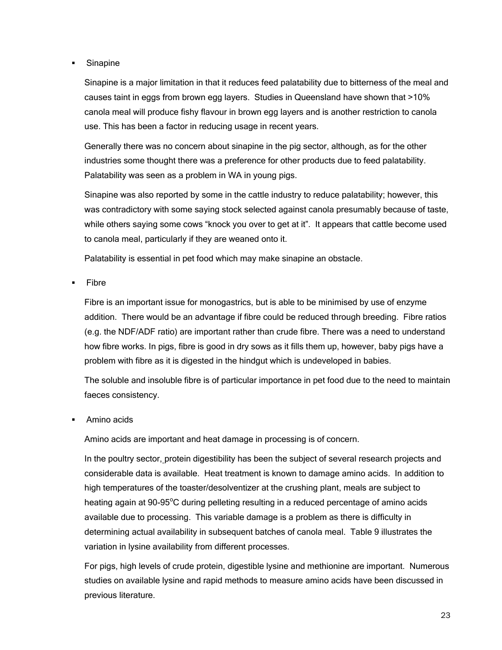Sinapine

Sinapine is a major limitation in that it reduces feed palatability due to bitterness of the meal and causes taint in eggs from brown egg layers. Studies in Queensland have shown that >10% canola meal will produce fishy flavour in brown egg layers and is another restriction to canola use. This has been a factor in reducing usage in recent years.

Generally there was no concern about sinapine in the pig sector, although, as for the other industries some thought there was a preference for other products due to feed palatability. Palatability was seen as a problem in WA in young pigs.

Sinapine was also reported by some in the cattle industry to reduce palatability; however, this was contradictory with some saying stock selected against canola presumably because of taste, while others saying some cows "knock you over to get at it". It appears that cattle become used to canola meal, particularly if they are weaned onto it.

Palatability is essential in pet food which may make sinapine an obstacle.

Fibre

Fibre is an important issue for monogastrics, but is able to be minimised by use of enzyme addition. There would be an advantage if fibre could be reduced through breeding. Fibre ratios (e.g. the NDF/ADF ratio) are important rather than crude fibre. There was a need to understand how fibre works. In pigs, fibre is good in dry sows as it fills them up, however, baby pigs have a problem with fibre as it is digested in the hindgut which is undeveloped in babies.

The soluble and insoluble fibre is of particular importance in pet food due to the need to maintain faeces consistency.

Amino acids

Amino acids are important and heat damage in processing is of concern.

In the poultry sector, protein digestibility has been the subject of several research projects and considerable data is available. Heat treatment is known to damage amino acids. In addition to high temperatures of the toaster/desolventizer at the crushing plant, meals are subject to heating again at 90-95°C during pelleting resulting in a reduced percentage of amino acids available due to processing. This variable damage is a problem as there is difficulty in determining actual availability in subsequent batches of canola meal. Table 9 illustrates the variation in lysine availability from different processes.

For pigs, high levels of crude protein, digestible lysine and methionine are important. Numerous studies on available lysine and rapid methods to measure amino acids have been discussed in previous literature.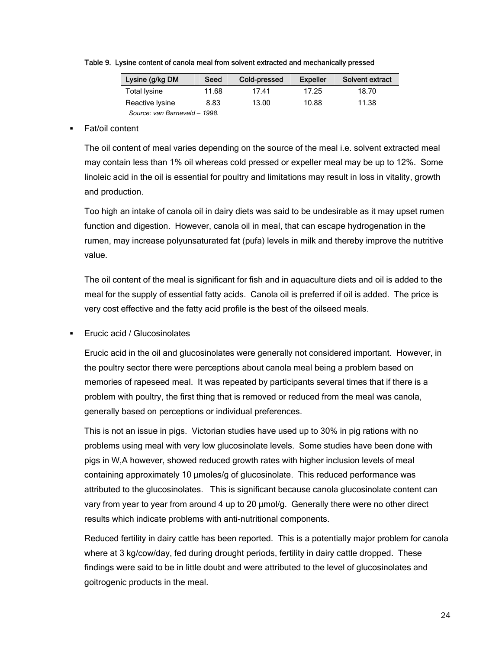| Lysine (g/kg DM              | Seed  | Cold-pressed | <b>Expeller</b> | Solvent extract |  |
|------------------------------|-------|--------------|-----------------|-----------------|--|
| <b>Total lysine</b>          | 11.68 | 17.41        | 17.25           | 18.70           |  |
| Reactive Iysine              | 8.83  | 13.00        | 10.88           | 11.38           |  |
| Source: van Barneveld – 1998 |       |              |                 |                 |  |

Table 9. Lysine content of canola meal from solvent extracted and mechanically pressed

#### Fat/oil content

The oil content of meal varies depending on the source of the meal i.e. solvent extracted meal may contain less than 1% oil whereas cold pressed or expeller meal may be up to 12%. Some linoleic acid in the oil is essential for poultry and limitations may result in loss in vitality, growth and production.

Too high an intake of canola oil in dairy diets was said to be undesirable as it may upset rumen function and digestion. However, canola oil in meal, that can escape hydrogenation in the rumen, may increase polyunsaturated fat (pufa) levels in milk and thereby improve the nutritive value.

The oil content of the meal is significant for fish and in aquaculture diets and oil is added to the meal for the supply of essential fatty acids. Canola oil is preferred if oil is added. The price is very cost effective and the fatty acid profile is the best of the oilseed meals.

#### Erucic acid / Glucosinolates

Erucic acid in the oil and glucosinolates were generally not considered important. However, in the poultry sector there were perceptions about canola meal being a problem based on memories of rapeseed meal. It was repeated by participants several times that if there is a problem with poultry, the first thing that is removed or reduced from the meal was canola, generally based on perceptions or individual preferences.

This is not an issue in pigs. Victorian studies have used up to 30% in pig rations with no problems using meal with very low glucosinolate levels. Some studies have been done with pigs in W,A however, showed reduced growth rates with higher inclusion levels of meal containing approximately 10 µmoles/g of glucosinolate. This reduced performance was attributed to the glucosinolates. This is significant because canola glucosinolate content can vary from year to year from around 4 up to 20 µmol/g. Generally there were no other direct results which indicate problems with anti-nutritional components.

Reduced fertility in dairy cattle has been reported. This is a potentially major problem for canola where at 3 kg/cow/day, fed during drought periods, fertility in dairy cattle dropped. These findings were said to be in little doubt and were attributed to the level of glucosinolates and goitrogenic products in the meal.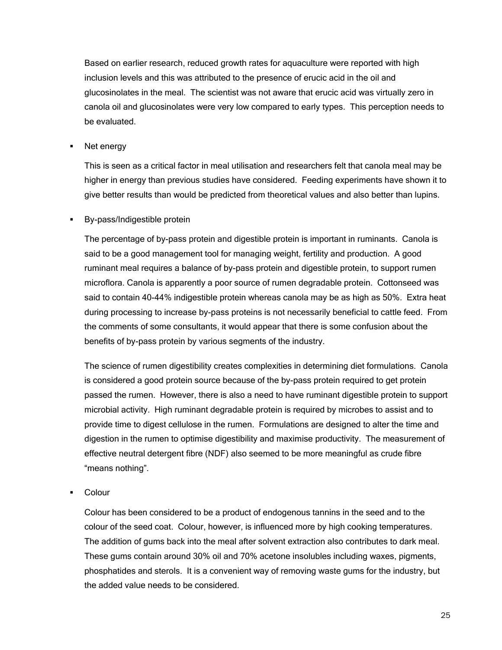Based on earlier research, reduced growth rates for aquaculture were reported with high inclusion levels and this was attributed to the presence of erucic acid in the oil and glucosinolates in the meal. The scientist was not aware that erucic acid was virtually zero in canola oil and glucosinolates were very low compared to early types. This perception needs to be evaluated.

Net energy

This is seen as a critical factor in meal utilisation and researchers felt that canola meal may be higher in energy than previous studies have considered. Feeding experiments have shown it to give better results than would be predicted from theoretical values and also better than lupins.

By-pass/Indigestible protein

The percentage of by-pass protein and digestible protein is important in ruminants. Canola is said to be a good management tool for managing weight, fertility and production. A good ruminant meal requires a balance of by-pass protein and digestible protein, to support rumen microflora. Canola is apparently a poor source of rumen degradable protein. Cottonseed was said to contain 40-44% indigestible protein whereas canola may be as high as 50%. Extra heat during processing to increase by-pass proteins is not necessarily beneficial to cattle feed. From the comments of some consultants, it would appear that there is some confusion about the benefits of by-pass protein by various segments of the industry.

The science of rumen digestibility creates complexities in determining diet formulations. Canola is considered a good protein source because of the by-pass protein required to get protein passed the rumen. However, there is also a need to have ruminant digestible protein to support microbial activity. High ruminant degradable protein is required by microbes to assist and to provide time to digest cellulose in the rumen. Formulations are designed to alter the time and digestion in the rumen to optimise digestibility and maximise productivity. The measurement of effective neutral detergent fibre (NDF) also seemed to be more meaningful as crude fibre "means nothing".

Colour

Colour has been considered to be a product of endogenous tannins in the seed and to the colour of the seed coat. Colour, however, is influenced more by high cooking temperatures. The addition of gums back into the meal after solvent extraction also contributes to dark meal. These gums contain around 30% oil and 70% acetone insolubles including waxes, pigments, phosphatides and sterols. It is a convenient way of removing waste gums for the industry, but the added value needs to be considered.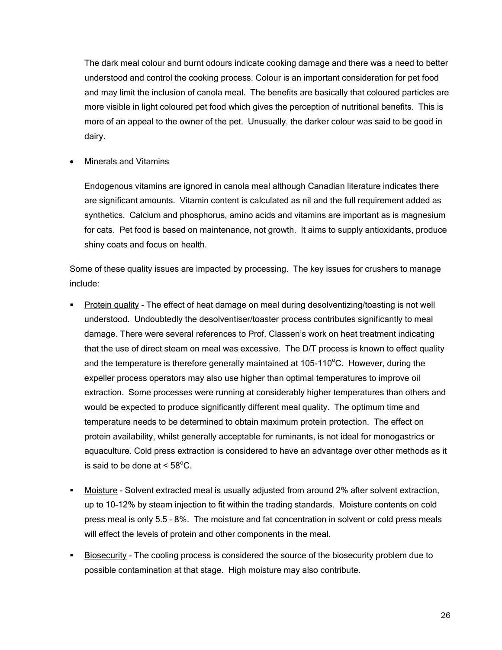The dark meal colour and burnt odours indicate cooking damage and there was a need to better understood and control the cooking process. Colour is an important consideration for pet food and may limit the inclusion of canola meal. The benefits are basically that coloured particles are more visible in light coloured pet food which gives the perception of nutritional benefits. This is more of an appeal to the owner of the pet. Unusually, the darker colour was said to be good in dairy.

• Minerals and Vitamins

Endogenous vitamins are ignored in canola meal although Canadian literature indicates there are significant amounts. Vitamin content is calculated as nil and the full requirement added as synthetics. Calcium and phosphorus, amino acids and vitamins are important as is magnesium for cats. Pet food is based on maintenance, not growth. It aims to supply antioxidants, produce shiny coats and focus on health.

Some of these quality issues are impacted by processing. The key issues for crushers to manage include:

- Protein quality The effect of heat damage on meal during desolventizing/toasting is not well understood. Undoubtedly the desolventiser/toaster process contributes significantly to meal damage. There were several references to Prof. Classen's work on heat treatment indicating that the use of direct steam on meal was excessive. The D/T process is known to effect quality and the temperature is therefore generally maintained at  $105-110^{\circ}$ C. However, during the expeller process operators may also use higher than optimal temperatures to improve oil extraction. Some processes were running at considerably higher temperatures than others and would be expected to produce significantly different meal quality. The optimum time and temperature needs to be determined to obtain maximum protein protection. The effect on protein availability, whilst generally acceptable for ruminants, is not ideal for monogastrics or aquaculture. Cold press extraction is considered to have an advantage over other methods as it is said to be done at  $< 58^{\circ}$ C.
- Moisture Solvent extracted meal is usually adjusted from around 2% after solvent extraction, up to 10-12% by steam injection to fit within the trading standards. Moisture contents on cold press meal is only 5.5 – 8%. The moisture and fat concentration in solvent or cold press meals will effect the levels of protein and other components in the meal.
- Biosecurity The cooling process is considered the source of the biosecurity problem due to possible contamination at that stage. High moisture may also contribute.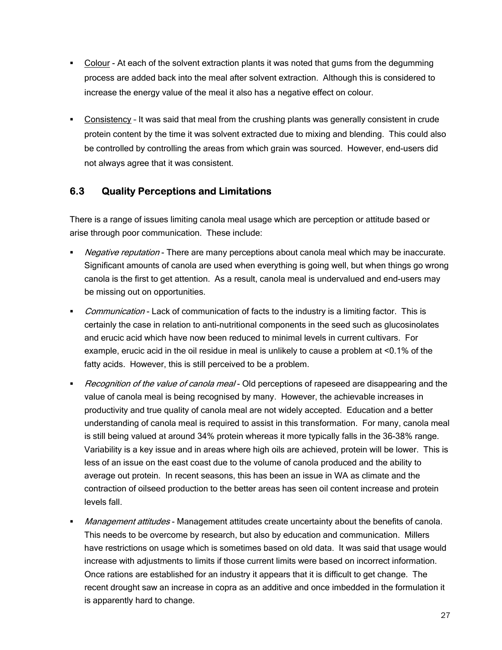- Colour At each of the solvent extraction plants it was noted that gums from the degumming process are added back into the meal after solvent extraction. Although this is considered to increase the energy value of the meal it also has a negative effect on colour.
- Consistency It was said that meal from the crushing plants was generally consistent in crude protein content by the time it was solvent extracted due to mixing and blending. This could also be controlled by controlling the areas from which grain was sourced. However, end-users did not always agree that it was consistent.

#### **6.3 Quality Perceptions and Limitations**

There is a range of issues limiting canola meal usage which are perception or attitude based or arise through poor communication. These include:

- Negative reputation There are many perceptions about canola meal which may be inaccurate. Significant amounts of canola are used when everything is going well, but when things go wrong canola is the first to get attention. As a result, canola meal is undervalued and end-users may be missing out on opportunities.
- Communication Lack of communication of facts to the industry is a limiting factor. This is certainly the case in relation to anti-nutritional components in the seed such as glucosinolates and erucic acid which have now been reduced to minimal levels in current cultivars. For example, erucic acid in the oil residue in meal is unlikely to cause a problem at <0.1% of the fatty acids. However, this is still perceived to be a problem.
- Recognition of the value of canola meal Old perceptions of rapeseed are disappearing and the value of canola meal is being recognised by many. However, the achievable increases in productivity and true quality of canola meal are not widely accepted. Education and a better understanding of canola meal is required to assist in this transformation. For many, canola meal is still being valued at around 34% protein whereas it more typically falls in the 36-38% range. Variability is a key issue and in areas where high oils are achieved, protein will be lower. This is less of an issue on the east coast due to the volume of canola produced and the ability to average out protein. In recent seasons, this has been an issue in WA as climate and the contraction of oilseed production to the better areas has seen oil content increase and protein levels fall.
- **Management attitudes Management attitudes create uncertainty about the benefits of canola.** This needs to be overcome by research, but also by education and communication. Millers have restrictions on usage which is sometimes based on old data. It was said that usage would increase with adjustments to limits if those current limits were based on incorrect information. Once rations are established for an industry it appears that it is difficult to get change. The recent drought saw an increase in copra as an additive and once imbedded in the formulation it is apparently hard to change.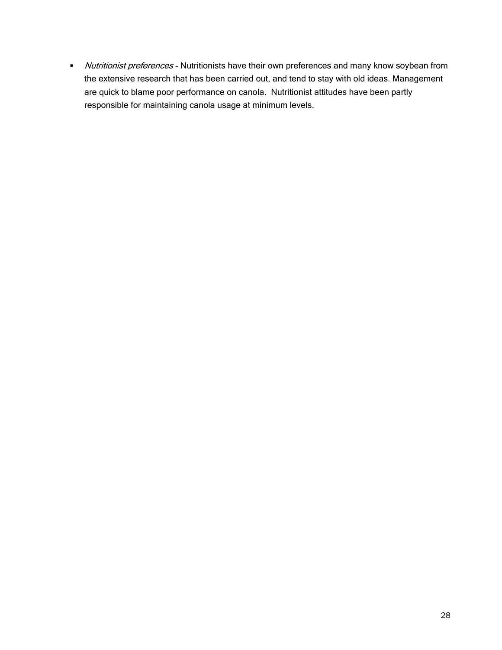• Nutritionist preferences - Nutritionists have their own preferences and many know soybean from the extensive research that has been carried out, and tend to stay with old ideas. Management are quick to blame poor performance on canola. Nutritionist attitudes have been partly responsible for maintaining canola usage at minimum levels.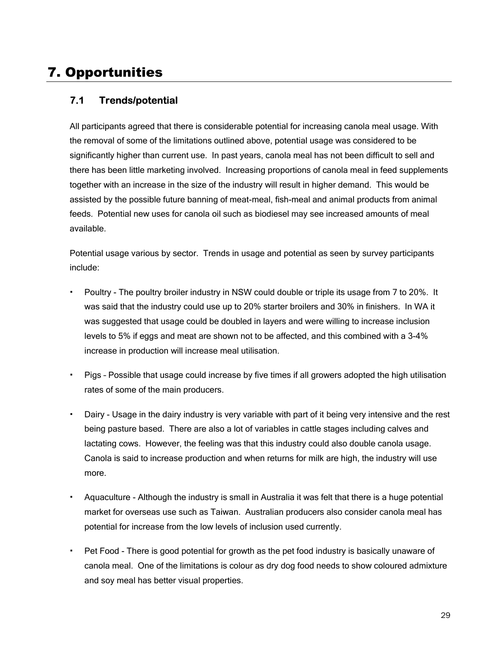### 7. Opportunities

#### **7.1 Trends/potential**

All participants agreed that there is considerable potential for increasing canola meal usage. With the removal of some of the limitations outlined above, potential usage was considered to be significantly higher than current use. In past years, canola meal has not been difficult to sell and there has been little marketing involved. Increasing proportions of canola meal in feed supplements together with an increase in the size of the industry will result in higher demand. This would be assisted by the possible future banning of meat-meal, fish-meal and animal products from animal feeds. Potential new uses for canola oil such as biodiesel may see increased amounts of meal available.

Potential usage various by sector. Trends in usage and potential as seen by survey participants include:

- Poultry The poultry broiler industry in NSW could double or triple its usage from 7 to 20%. It was said that the industry could use up to 20% starter broilers and 30% in finishers. In WA it was suggested that usage could be doubled in layers and were willing to increase inclusion levels to 5% if eggs and meat are shown not to be affected, and this combined with a 3-4% increase in production will increase meal utilisation.
- Pigs Possible that usage could increase by five times if all growers adopted the high utilisation rates of some of the main producers.
- Dairy Usage in the dairy industry is very variable with part of it being very intensive and the rest being pasture based. There are also a lot of variables in cattle stages including calves and lactating cows. However, the feeling was that this industry could also double canola usage. Canola is said to increase production and when returns for milk are high, the industry will use more.
- Aquaculture Although the industry is small in Australia it was felt that there is a huge potential market for overseas use such as Taiwan. Australian producers also consider canola meal has potential for increase from the low levels of inclusion used currently.
- Pet Food There is good potential for growth as the pet food industry is basically unaware of canola meal. One of the limitations is colour as dry dog food needs to show coloured admixture and soy meal has better visual properties.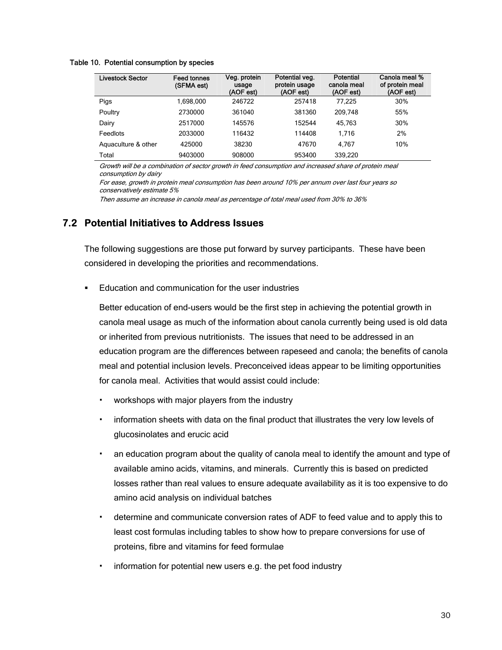#### Table 10. Potential consumption by species

| <b>Livestock Sector</b> | <b>Feed tonnes</b><br>(SFMA est) | Veg. protein<br>usage<br>(AOF est) | Potential veg.<br>protein usage<br>(AOF est) | Potential<br>canola meal<br>(AOF est) | Canola meal %<br>of protein meal<br>(AOF est) |
|-------------------------|----------------------------------|------------------------------------|----------------------------------------------|---------------------------------------|-----------------------------------------------|
| Pigs                    | 1.698.000                        | 246722                             | 257418                                       | 77.225                                | 30%                                           |
| Poultry                 | 2730000                          | 361040                             | 381360                                       | 209.748                               | 55%                                           |
| Dairy                   | 2517000                          | 145576                             | 152544                                       | 45.763                                | 30%                                           |
| Feedlots                | 2033000                          | 116432                             | 114408                                       | 1.716                                 | 2%                                            |
| Aquaculture & other     | 425000                           | 38230                              | 47670                                        | 4.767                                 | 10%                                           |
| Total                   | 9403000                          | 908000                             | 953400                                       | 339,220                               |                                               |

Growth will be a combination of sector growth in feed consumption and increased share of protein meal consumption by dairy

For ease, growth in protein meal consumption has been around 10% per annum over last four years so conservatively estimate 5%

Then assume an increase in canola meal as percentage of total meal used from 30% to 36%

#### **7.2 Potential Initiatives to Address Issues**

The following suggestions are those put forward by survey participants. These have been considered in developing the priorities and recommendations.

Education and communication for the user industries

Better education of end-users would be the first step in achieving the potential growth in canola meal usage as much of the information about canola currently being used is old data or inherited from previous nutritionists. The issues that need to be addressed in an education program are the differences between rapeseed and canola; the benefits of canola meal and potential inclusion levels. Preconceived ideas appear to be limiting opportunities for canola meal. Activities that would assist could include:

- workshops with major players from the industry
- information sheets with data on the final product that illustrates the very low levels of glucosinolates and erucic acid
- an education program about the quality of canola meal to identify the amount and type of available amino acids, vitamins, and minerals. Currently this is based on predicted losses rather than real values to ensure adequate availability as it is too expensive to do amino acid analysis on individual batches
- determine and communicate conversion rates of ADF to feed value and to apply this to least cost formulas including tables to show how to prepare conversions for use of proteins, fibre and vitamins for feed formulae
- information for potential new users e.g. the pet food industry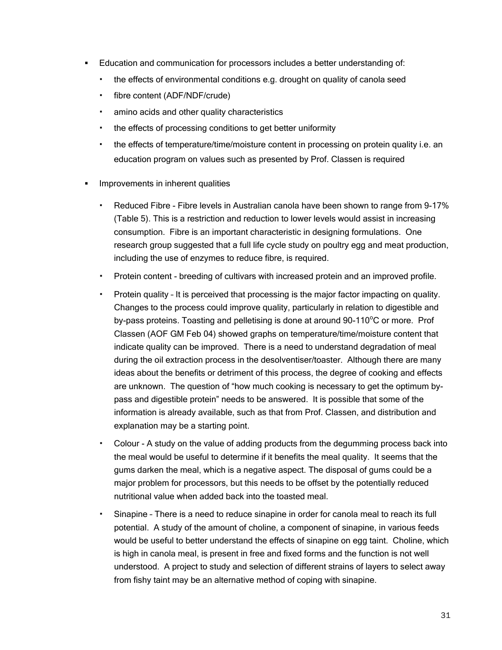- Education and communication for processors includes a better understanding of:
	- the effects of environmental conditions e.g. drought on quality of canola seed
	- fibre content (ADF/NDF/crude)
	- amino acids and other quality characteristics
	- the effects of processing conditions to get better uniformity
	- the effects of temperature/time/moisture content in processing on protein quality i.e. an education program on values such as presented by Prof. Classen is required
- **IMPROVEMENTS IN INDEEPTH IN A LIMP IN 1997** 
	- Reduced Fibre Fibre levels in Australian canola have been shown to range from 9-17% (Table 5). This is a restriction and reduction to lower levels would assist in increasing consumption. Fibre is an important characteristic in designing formulations. One research group suggested that a full life cycle study on poultry egg and meat production, including the use of enzymes to reduce fibre, is required.
	- Protein content breeding of cultivars with increased protein and an improved profile.
	- Protein quality It is perceived that processing is the major factor impacting on quality. Changes to the process could improve quality, particularly in relation to digestible and by-pass proteins. Toasting and pelletising is done at around 90-110 $\rm ^{o}C$  or more. Prof Classen (AOF GM Feb 04) showed graphs on temperature/time/moisture content that indicate quality can be improved. There is a need to understand degradation of meal during the oil extraction process in the desolventiser/toaster. Although there are many ideas about the benefits or detriment of this process, the degree of cooking and effects are unknown. The question of "how much cooking is necessary to get the optimum bypass and digestible protein" needs to be answered. It is possible that some of the information is already available, such as that from Prof. Classen, and distribution and explanation may be a starting point.
	- Colour A study on the value of adding products from the degumming process back into the meal would be useful to determine if it benefits the meal quality. It seems that the gums darken the meal, which is a negative aspect. The disposal of gums could be a major problem for processors, but this needs to be offset by the potentially reduced nutritional value when added back into the toasted meal.
	- Sinapine There is a need to reduce sinapine in order for canola meal to reach its full potential. A study of the amount of choline, a component of sinapine, in various feeds would be useful to better understand the effects of sinapine on egg taint. Choline, which is high in canola meal, is present in free and fixed forms and the function is not well understood. A project to study and selection of different strains of layers to select away from fishy taint may be an alternative method of coping with sinapine.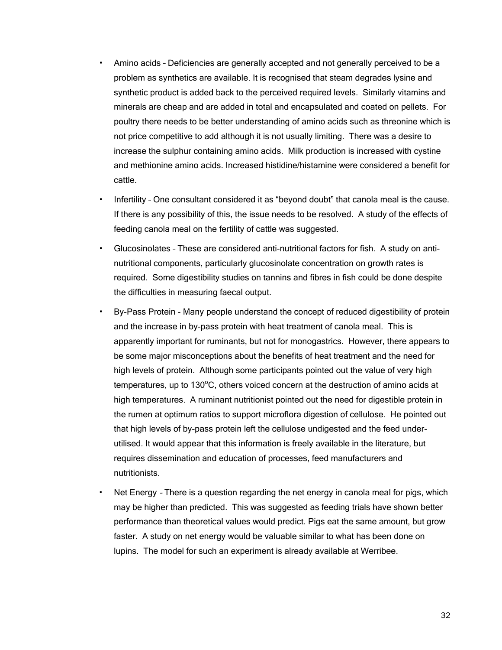- Amino acids Deficiencies are generally accepted and not generally perceived to be a problem as synthetics are available. It is recognised that steam degrades lysine and synthetic product is added back to the perceived required levels. Similarly vitamins and minerals are cheap and are added in total and encapsulated and coated on pellets. For poultry there needs to be better understanding of amino acids such as threonine which is not price competitive to add although it is not usually limiting. There was a desire to increase the sulphur containing amino acids. Milk production is increased with cystine and methionine amino acids. Increased histidine/histamine were considered a benefit for cattle.
- Infertility One consultant considered it as "beyond doubt" that canola meal is the cause. If there is any possibility of this, the issue needs to be resolved. A study of the effects of feeding canola meal on the fertility of cattle was suggested.
- Glucosinolates These are considered anti-nutritional factors for fish. A study on antinutritional components, particularly glucosinolate concentration on growth rates is required. Some digestibility studies on tannins and fibres in fish could be done despite the difficulties in measuring faecal output.
- By-Pass Protein Many people understand the concept of reduced digestibility of protein and the increase in by-pass protein with heat treatment of canola meal. This is apparently important for ruminants, but not for monogastrics. However, there appears to be some major misconceptions about the benefits of heat treatment and the need for high levels of protein. Although some participants pointed out the value of very high temperatures, up to 130 $\mathrm{^oC}$ , others voiced concern at the destruction of amino acids at high temperatures. A ruminant nutritionist pointed out the need for digestible protein in the rumen at optimum ratios to support microflora digestion of cellulose. He pointed out that high levels of by-pass protein left the cellulose undigested and the feed underutilised. It would appear that this information is freely available in the literature, but requires dissemination and education of processes, feed manufacturers and nutritionists.
- Net Energy There is a question regarding the net energy in canola meal for pigs, which may be higher than predicted. This was suggested as feeding trials have shown better performance than theoretical values would predict. Pigs eat the same amount, but grow faster. A study on net energy would be valuable similar to what has been done on lupins. The model for such an experiment is already available at Werribee.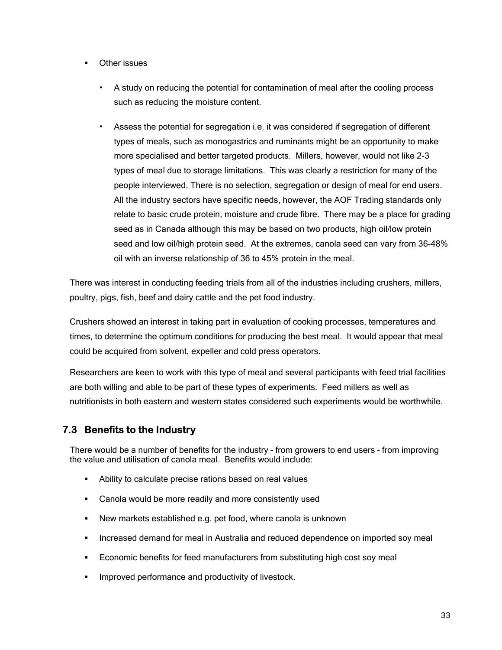- Other issues
	- A study on reducing the potential for contamination of meal after the cooling process such as reducing the moisture content.
	- Assess the potential for segregation i.e. it was considered if segregation of different types of meals, such as monogastrics and ruminants might be an opportunity to make more specialised and better targeted products. Millers, however, would not like 2-3 types of meal due to storage limitations. This was clearly a restriction for many of the people interviewed. There is no selection, segregation or design of meal for end users. All the industry sectors have specific needs, however, the AOF Trading standards only relate to basic crude protein, moisture and crude fibre. There may be a place for grading seed as in Canada although this may be based on two products, high oil/low protein seed and low oil/high protein seed. At the extremes, canola seed can vary from 36-48% oil with an inverse relationship of 36 to 45% protein in the meal.

There was interest in conducting feeding trials from all of the industries including crushers, millers, poultry, pigs, fish, beef and dairy cattle and the pet food industry.

Crushers showed an interest in taking part in evaluation of cooking processes, temperatures and times, to determine the optimum conditions for producing the best meal. It would appear that meal could be acquired from solvent, expeller and cold press operators.

Researchers are keen to work with this type of meal and several participants with feed trial facilities are both willing and able to be part of these types of experiments. Feed millers as well as nutritionists in both eastern and western states considered such experiments would be worthwhile.

#### **7.3 Benefits to the Industry**

There would be a number of benefits for the industry – from growers to end users – from improving the value and utilisation of canola meal. Benefits would include:

- Ability to calculate precise rations based on real values
- Canola would be more readily and more consistently used
- New markets established e.g. pet food, where canola is unknown
- **Increased demand for meal in Australia and reduced dependence on imported soy meal**
- Economic benefits for feed manufacturers from substituting high cost soy meal
- Improved performance and productivity of livestock.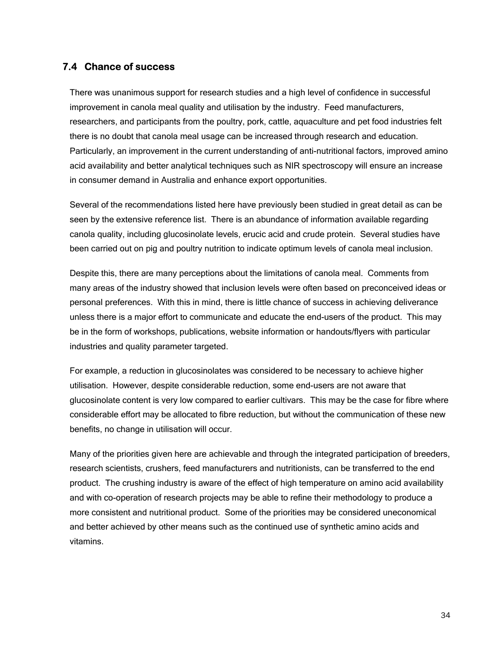#### **7.4 Chance of success**

There was unanimous support for research studies and a high level of confidence in successful improvement in canola meal quality and utilisation by the industry. Feed manufacturers, researchers, and participants from the poultry, pork, cattle, aquaculture and pet food industries felt there is no doubt that canola meal usage can be increased through research and education. Particularly, an improvement in the current understanding of anti-nutritional factors, improved amino acid availability and better analytical techniques such as NIR spectroscopy will ensure an increase in consumer demand in Australia and enhance export opportunities.

Several of the recommendations listed here have previously been studied in great detail as can be seen by the extensive reference list. There is an abundance of information available regarding canola quality, including glucosinolate levels, erucic acid and crude protein. Several studies have been carried out on pig and poultry nutrition to indicate optimum levels of canola meal inclusion.

Despite this, there are many perceptions about the limitations of canola meal. Comments from many areas of the industry showed that inclusion levels were often based on preconceived ideas or personal preferences. With this in mind, there is little chance of success in achieving deliverance unless there is a major effort to communicate and educate the end-users of the product. This may be in the form of workshops, publications, website information or handouts/flyers with particular industries and quality parameter targeted.

For example, a reduction in glucosinolates was considered to be necessary to achieve higher utilisation. However, despite considerable reduction, some end-users are not aware that glucosinolate content is very low compared to earlier cultivars. This may be the case for fibre where considerable effort may be allocated to fibre reduction, but without the communication of these new benefits, no change in utilisation will occur.

Many of the priorities given here are achievable and through the integrated participation of breeders, research scientists, crushers, feed manufacturers and nutritionists, can be transferred to the end product. The crushing industry is aware of the effect of high temperature on amino acid availability and with co-operation of research projects may be able to refine their methodology to produce a more consistent and nutritional product. Some of the priorities may be considered uneconomical and better achieved by other means such as the continued use of synthetic amino acids and vitamins.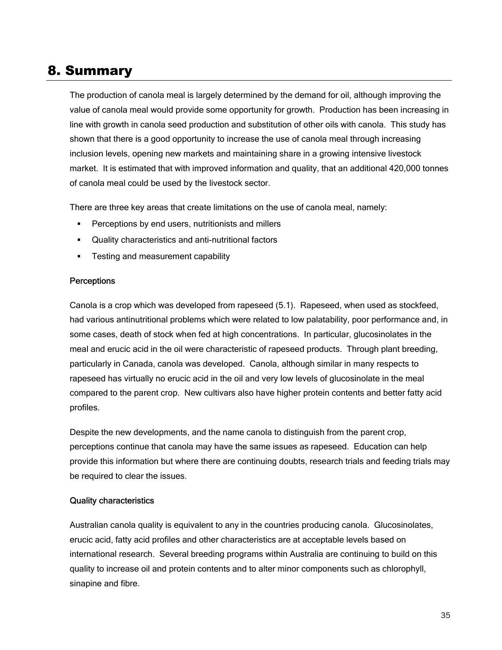### 8. Summary

The production of canola meal is largely determined by the demand for oil, although improving the value of canola meal would provide some opportunity for growth. Production has been increasing in line with growth in canola seed production and substitution of other oils with canola. This study has shown that there is a good opportunity to increase the use of canola meal through increasing inclusion levels, opening new markets and maintaining share in a growing intensive livestock market. It is estimated that with improved information and quality, that an additional 420,000 tonnes of canola meal could be used by the livestock sector.

There are three key areas that create limitations on the use of canola meal, namely:

- Perceptions by end users, nutritionists and millers
- Quality characteristics and anti-nutritional factors
- **Testing and measurement capability**

#### **Perceptions**

Canola is a crop which was developed from rapeseed (5.1). Rapeseed, when used as stockfeed, had various antinutritional problems which were related to low palatability, poor performance and, in some cases, death of stock when fed at high concentrations. In particular, glucosinolates in the meal and erucic acid in the oil were characteristic of rapeseed products. Through plant breeding, particularly in Canada, canola was developed. Canola, although similar in many respects to rapeseed has virtually no erucic acid in the oil and very low levels of glucosinolate in the meal compared to the parent crop. New cultivars also have higher protein contents and better fatty acid profiles.

Despite the new developments, and the name canola to distinguish from the parent crop, perceptions continue that canola may have the same issues as rapeseed. Education can help provide this information but where there are continuing doubts, research trials and feeding trials may be required to clear the issues.

#### Quality characteristics

Australian canola quality is equivalent to any in the countries producing canola. Glucosinolates, erucic acid, fatty acid profiles and other characteristics are at acceptable levels based on international research. Several breeding programs within Australia are continuing to build on this quality to increase oil and protein contents and to alter minor components such as chlorophyll, sinapine and fibre.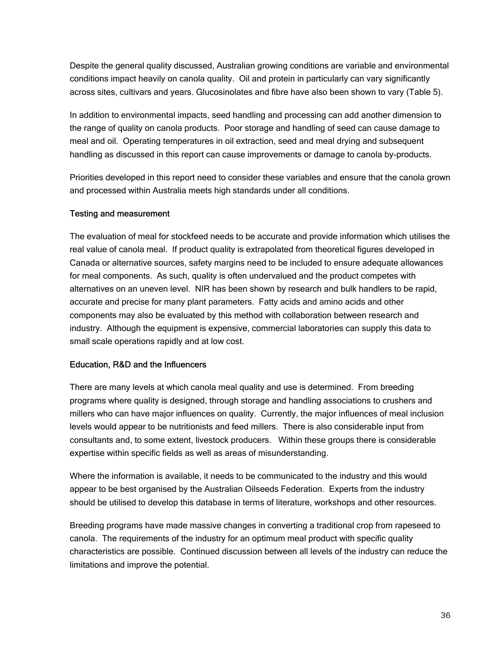Despite the general quality discussed, Australian growing conditions are variable and environmental conditions impact heavily on canola quality. Oil and protein in particularly can vary significantly across sites, cultivars and years. Glucosinolates and fibre have also been shown to vary (Table 5).

In addition to environmental impacts, seed handling and processing can add another dimension to the range of quality on canola products. Poor storage and handling of seed can cause damage to meal and oil. Operating temperatures in oil extraction, seed and meal drying and subsequent handling as discussed in this report can cause improvements or damage to canola by-products.

Priorities developed in this report need to consider these variables and ensure that the canola grown and processed within Australia meets high standards under all conditions.

#### Testing and measurement

The evaluation of meal for stockfeed needs to be accurate and provide information which utilises the real value of canola meal. If product quality is extrapolated from theoretical figures developed in Canada or alternative sources, safety margins need to be included to ensure adequate allowances for meal components. As such, quality is often undervalued and the product competes with alternatives on an uneven level. NIR has been shown by research and bulk handlers to be rapid, accurate and precise for many plant parameters. Fatty acids and amino acids and other components may also be evaluated by this method with collaboration between research and industry. Although the equipment is expensive, commercial laboratories can supply this data to small scale operations rapidly and at low cost.

#### Education, R&D and the Influencers

There are many levels at which canola meal quality and use is determined. From breeding programs where quality is designed, through storage and handling associations to crushers and millers who can have major influences on quality. Currently, the major influences of meal inclusion levels would appear to be nutritionists and feed millers. There is also considerable input from consultants and, to some extent, livestock producers. Within these groups there is considerable expertise within specific fields as well as areas of misunderstanding.

Where the information is available, it needs to be communicated to the industry and this would appear to be best organised by the Australian Oilseeds Federation. Experts from the industry should be utilised to develop this database in terms of literature, workshops and other resources.

Breeding programs have made massive changes in converting a traditional crop from rapeseed to canola. The requirements of the industry for an optimum meal product with specific quality characteristics are possible. Continued discussion between all levels of the industry can reduce the limitations and improve the potential.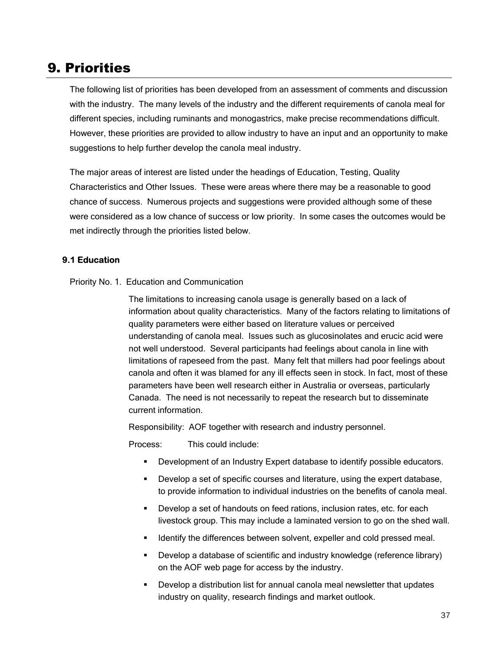### 9. Priorities

The following list of priorities has been developed from an assessment of comments and discussion with the industry. The many levels of the industry and the different requirements of canola meal for different species, including ruminants and monogastrics, make precise recommendations difficult. However, these priorities are provided to allow industry to have an input and an opportunity to make suggestions to help further develop the canola meal industry.

The major areas of interest are listed under the headings of Education, Testing, Quality Characteristics and Other Issues. These were areas where there may be a reasonable to good chance of success. Numerous projects and suggestions were provided although some of these were considered as a low chance of success or low priority. In some cases the outcomes would be met indirectly through the priorities listed below.

#### **9.1 Education**

#### Priority No. 1. Education and Communication

The limitations to increasing canola usage is generally based on a lack of information about quality characteristics. Many of the factors relating to limitations of quality parameters were either based on literature values or perceived understanding of canola meal. Issues such as glucosinolates and erucic acid were not well understood. Several participants had feelings about canola in line with limitations of rapeseed from the past. Many felt that millers had poor feelings about canola and often it was blamed for any ill effects seen in stock. In fact, most of these parameters have been well research either in Australia or overseas, particularly Canada. The need is not necessarily to repeat the research but to disseminate current information.

Responsibility: AOF together with research and industry personnel.

Process: This could include:

- Development of an Industry Expert database to identify possible educators.
- Develop a set of specific courses and literature, using the expert database, to provide information to individual industries on the benefits of canola meal.
- Develop a set of handouts on feed rations, inclusion rates, etc. for each livestock group. This may include a laminated version to go on the shed wall.
- **IDED IDENT** Identify the differences between solvent, expeller and cold pressed meal.
- **Develop a database of scientific and industry knowledge (reference library)** on the AOF web page for access by the industry.
- **Develop a distribution list for annual canola meal newsletter that updates** industry on quality, research findings and market outlook.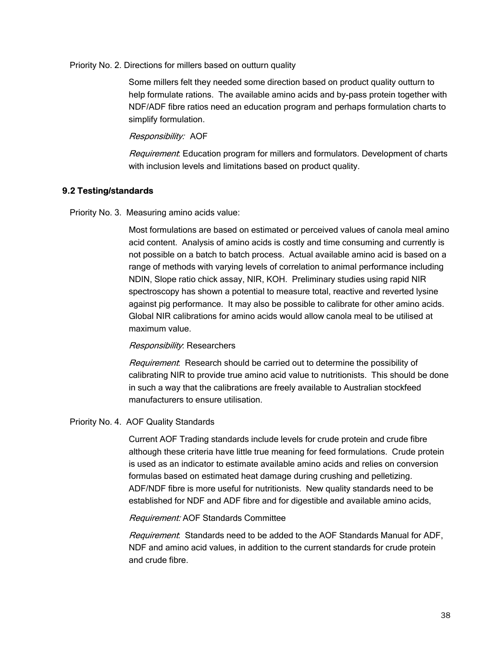Priority No. 2. Directions for millers based on outturn quality

Some millers felt they needed some direction based on product quality outturn to help formulate rations. The available amino acids and by-pass protein together with NDF/ADF fibre ratios need an education program and perhaps formulation charts to simplify formulation.

#### Responsibility: AOF

Requirement: Education program for millers and formulators. Development of charts with inclusion levels and limitations based on product quality.

#### **9.2 Testing/standards**

Priority No. 3. Measuring amino acids value:

Most formulations are based on estimated or perceived values of canola meal amino acid content. Analysis of amino acids is costly and time consuming and currently is not possible on a batch to batch process. Actual available amino acid is based on a range of methods with varying levels of correlation to animal performance including NDIN, Slope ratio chick assay, NIR, KOH. Preliminary studies using rapid NIR spectroscopy has shown a potential to measure total, reactive and reverted lysine against pig performance. It may also be possible to calibrate for other amino acids. Global NIR calibrations for amino acids would allow canola meal to be utilised at maximum value.

#### Responsibility: Researchers

Requirement: Research should be carried out to determine the possibility of calibrating NIR to provide true amino acid value to nutritionists. This should be done in such a way that the calibrations are freely available to Australian stockfeed manufacturers to ensure utilisation.

#### Priority No. 4. AOF Quality Standards

Current AOF Trading standards include levels for crude protein and crude fibre although these criteria have little true meaning for feed formulations. Crude protein is used as an indicator to estimate available amino acids and relies on conversion formulas based on estimated heat damage during crushing and pelletizing. ADF/NDF fibre is more useful for nutritionists. New quality standards need to be established for NDF and ADF fibre and for digestible and available amino acids,

#### Requirement: AOF Standards Committee

Requirement: Standards need to be added to the AOF Standards Manual for ADF, NDF and amino acid values, in addition to the current standards for crude protein and crude fibre.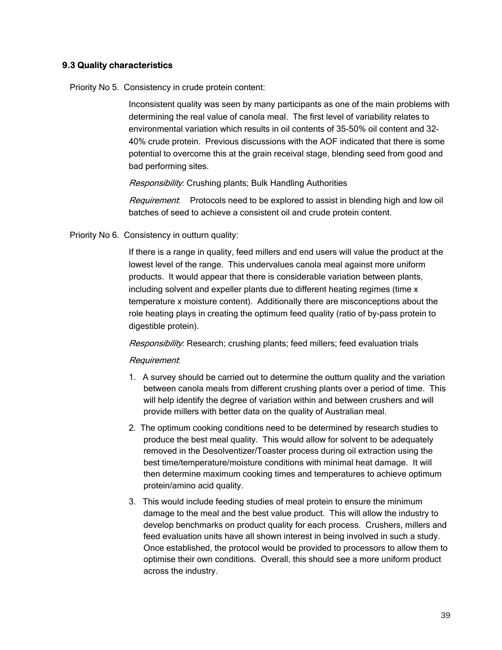#### **9.3 Quality characteristics**

Priority No 5. Consistency in crude protein content:

Inconsistent quality was seen by many participants as one of the main problems with determining the real value of canola meal. The first level of variability relates to environmental variation which results in oil contents of 35-50% oil content and 32- 40% crude protein. Previous discussions with the AOF indicated that there is some potential to overcome this at the grain receival stage, blending seed from good and bad performing sites.

Responsibility: Crushing plants; Bulk Handling Authorities

Requirement: Protocols need to be explored to assist in blending high and low oil batches of seed to achieve a consistent oil and crude protein content.

Priority No 6. Consistency in outturn quality:

If there is a range in quality, feed millers and end users will value the product at the lowest level of the range. This undervalues canola meal against more uniform products. It would appear that there is considerable variation between plants, including solvent and expeller plants due to different heating regimes (time x temperature x moisture content). Additionally there are misconceptions about the role heating plays in creating the optimum feed quality (ratio of by-pass protein to digestible protein).

Responsibility: Research; crushing plants; feed millers; feed evaluation trials

#### Requirement:

- 1. A survey should be carried out to determine the outturn quality and the variation between canola meals from different crushing plants over a period of time. This will help identify the degree of variation within and between crushers and will provide millers with better data on the quality of Australian meal.
- 2. The optimum cooking conditions need to be determined by research studies to produce the best meal quality. This would allow for solvent to be adequately removed in the Desolventizer/Toaster process during oil extraction using the best time/temperature/moisture conditions with minimal heat damage. It will then determine maximum cooking times and temperatures to achieve optimum protein/amino acid quality.
- 3. This would include feeding studies of meal protein to ensure the minimum damage to the meal and the best value product. This will allow the industry to develop benchmarks on product quality for each process. Crushers, millers and feed evaluation units have all shown interest in being involved in such a study. Once established, the protocol would be provided to processors to allow them to optimise their own conditions. Overall, this should see a more uniform product across the industry.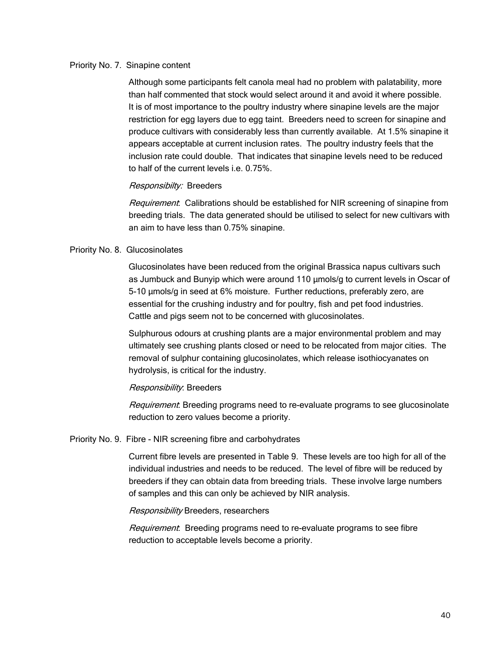#### Priority No. 7. Sinapine content

Although some participants felt canola meal had no problem with palatability, more than half commented that stock would select around it and avoid it where possible. It is of most importance to the poultry industry where sinapine levels are the major restriction for egg layers due to egg taint. Breeders need to screen for sinapine and produce cultivars with considerably less than currently available. At 1.5% sinapine it appears acceptable at current inclusion rates. The poultry industry feels that the inclusion rate could double. That indicates that sinapine levels need to be reduced to half of the current levels i.e. 0.75%.

#### Responsibilty: Breeders

Requirement: Calibrations should be established for NIR screening of sinapine from breeding trials. The data generated should be utilised to select for new cultivars with an aim to have less than 0.75% sinapine.

#### Priority No. 8. Glucosinolates

Glucosinolates have been reduced from the original Brassica napus cultivars such as Jumbuck and Bunyip which were around 110 µmols/g to current levels in Oscar of 5-10 µmols/g in seed at 6% moisture. Further reductions, preferably zero, are essential for the crushing industry and for poultry, fish and pet food industries. Cattle and pigs seem not to be concerned with glucosinolates.

Sulphurous odours at crushing plants are a major environmental problem and may ultimately see crushing plants closed or need to be relocated from major cities. The removal of sulphur containing glucosinolates, which release isothiocyanates on hydrolysis, is critical for the industry.

#### Responsibility: Breeders

Requirement: Breeding programs need to re-evaluate programs to see glucosinolate reduction to zero values become a priority.

#### Priority No. 9. Fibre - NIR screening fibre and carbohydrates

Current fibre levels are presented in Table 9. These levels are too high for all of the individual industries and needs to be reduced. The level of fibre will be reduced by breeders if they can obtain data from breeding trials. These involve large numbers of samples and this can only be achieved by NIR analysis.

#### Responsibility Breeders, researchers

Requirement. Breeding programs need to re-evaluate programs to see fibre reduction to acceptable levels become a priority.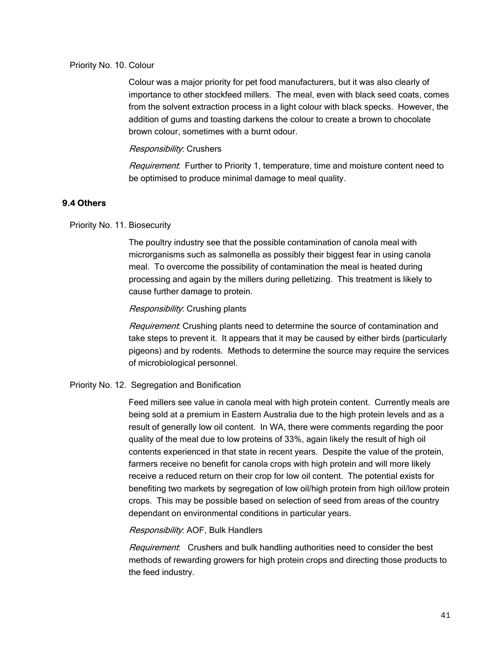#### Priority No. 10. Colour

Colour was a major priority for pet food manufacturers, but it was also clearly of importance to other stockfeed millers. The meal, even with black seed coats, comes from the solvent extraction process in a light colour with black specks. However, the addition of gums and toasting darkens the colour to create a brown to chocolate brown colour, sometimes with a burnt odour.

#### Responsibility: Crushers

Requirement: Further to Priority 1, temperature, time and moisture content need to be optimised to produce minimal damage to meal quality.

#### **9.4 Others**

#### Priority No. 11. Biosecurity

The poultry industry see that the possible contamination of canola meal with microrganisms such as salmonella as possibly their biggest fear in using canola meal. To overcome the possibility of contamination the meal is heated during processing and again by the millers during pelletizing. This treatment is likely to cause further damage to protein.

#### Responsibility: Crushing plants

Requirement: Crushing plants need to determine the source of contamination and take steps to prevent it. It appears that it may be caused by either birds (particularly pigeons) and by rodents. Methods to determine the source may require the services of microbiological personnel.

#### Priority No. 12. Segregation and Bonification

Feed millers see value in canola meal with high protein content. Currently meals are being sold at a premium in Eastern Australia due to the high protein levels and as a result of generally low oil content. In WA, there were comments regarding the poor quality of the meal due to low proteins of 33%, again likely the result of high oil contents experienced in that state in recent years. Despite the value of the protein, farmers receive no benefit for canola crops with high protein and will more likely receive a reduced return on their crop for low oil content. The potential exists for benefiting two markets by segregation of low oil/high protein from high oil/low protein crops. This may be possible based on selection of seed from areas of the country dependant on environmental conditions in particular years.

#### Responsibility: AOF, Bulk Handlers

Requirement: Crushers and bulk handling authorities need to consider the best methods of rewarding growers for high protein crops and directing those products to the feed industry.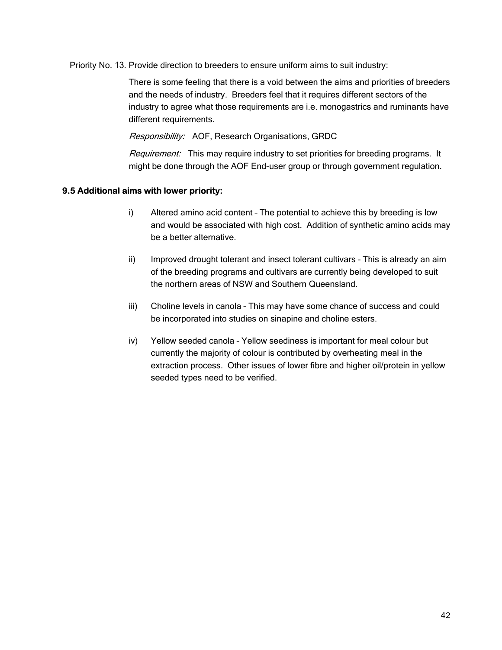Priority No. 13. Provide direction to breeders to ensure uniform aims to suit industry:

There is some feeling that there is a void between the aims and priorities of breeders and the needs of industry. Breeders feel that it requires different sectors of the industry to agree what those requirements are i.e. monogastrics and ruminants have different requirements.

Responsibility: AOF, Research Organisations, GRDC

Requirement: This may require industry to set priorities for breeding programs. It might be done through the AOF End-user group or through government regulation.

#### **9.5 Additional aims with lower priority:**

- i) Altered amino acid content The potential to achieve this by breeding is low and would be associated with high cost. Addition of synthetic amino acids may be a better alternative.
- ii) Improved drought tolerant and insect tolerant cultivars This is already an aim of the breeding programs and cultivars are currently being developed to suit the northern areas of NSW and Southern Queensland.
- iii) Choline levels in canola This may have some chance of success and could be incorporated into studies on sinapine and choline esters.
- iv) Yellow seeded canola Yellow seediness is important for meal colour but currently the majority of colour is contributed by overheating meal in the extraction process. Other issues of lower fibre and higher oil/protein in yellow seeded types need to be verified.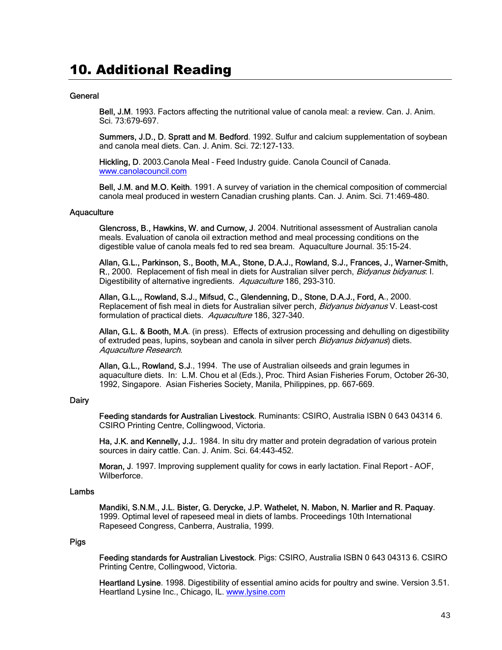### 10. Additional Reading

#### **General**

Bell, J.M. 1993. Factors affecting the nutritional value of canola meal: a review. Can. J. Anim. Sci. 73:679-697.

Summers, J.D., D. Spratt and M. Bedford. 1992. Sulfur and calcium supplementation of soybean and canola meal diets. Can. J. Anim. Sci. 72:127-133.

Hickling, D. 2003.Canola Meal – Feed Industry guide. Canola Council of Canada. www.canolacouncil.com

Bell, J.M. and M.O. Keith. 1991. A survey of variation in the chemical composition of commercial canola meal produced in western Canadian crushing plants. Can. J. Anim. Sci. 71:469-480.

#### **Aquaculture**

Glencross, B., Hawkins, W. and Curnow, J. 2004. Nutritional assessment of Australian canola meals. Evaluation of canola oil extraction method and meal processing conditions on the digestible value of canola meals fed to red sea bream. Aquaculture Journal. 35:15-24.

Allan, G.L., Parkinson, S., Booth, M.A., Stone, D.A.J., Rowland, S.J., Frances, J., Warner-Smith, R., 2000. Replacement of fish meal in diets for Australian silver perch, Bidyanus bidyanus: I. Digestibility of alternative ingredients. Aquaculture 186, 293-310.

Allan, G.L.,, Rowland, S.J., Mifsud, C., Glendenning, D., Stone, D.A.J., Ford, A., 2000. Replacement of fish meal in diets for Australian silver perch, Bidyanus bidyanus V. Least-cost formulation of practical diets. Aquaculture 186, 327-340.

Allan, G.L. & Booth, M.A. (in press). Effects of extrusion processing and dehulling on digestibility of extruded peas, lupins, soybean and canola in silver perch Bidyanus bidyanus) diets. Aquaculture Research.

Allan, G.L., Rowland, S.J., 1994. The use of Australian oilseeds and grain legumes in aquaculture diets. In: L.M. Chou et al (Eds.), Proc. Third Asian Fisheries Forum, October 26-30, 1992, Singapore. Asian Fisheries Society, Manila, Philippines, pp. 667-669.

#### **Dairy**

Feeding standards for Australian Livestock. Ruminants: CSIRO, Australia ISBN 0 643 04314 6. CSIRO Printing Centre, Collingwood, Victoria.

Ha, J.K. and Kennelly, J.J.. 1984. In situ dry matter and protein degradation of various protein sources in dairy cattle. Can. J. Anim. Sci. 64:443-452.

Moran, J. 1997. Improving supplement quality for cows in early lactation. Final Report – AOF, Wilberforce.

#### Lambs

Mandiki, S.N.M., J.L. Bister, G. Derycke, J.P. Wathelet, N. Mabon, N. Marlier and R. Paquay. 1999. Optimal level of rapeseed meal in diets of lambs. Proceedings 10th International Rapeseed Congress, Canberra, Australia, 1999.

#### Pigs

Feeding standards for Australian Livestock. Pigs: CSIRO, Australia ISBN 0 643 04313 6. CSIRO Printing Centre, Collingwood, Victoria.

Heartland Lysine. 1998. Digestibility of essential amino acids for poultry and swine. Version 3.51. Heartland Lysine Inc., Chicago, IL. www.lysine.com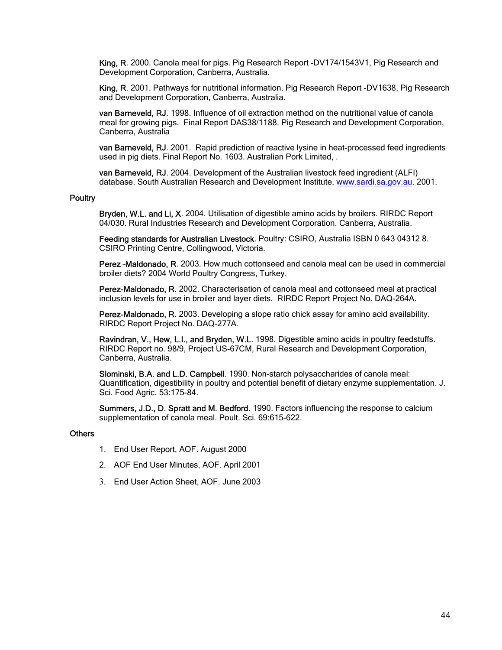King, R. 2000. Canola meal for pigs. Pig Research Report -DV174/1543V1, Pig Research and Development Corporation, Canberra, Australia.

King, R. 2001. Pathways for nutritional information. Pig Research Report -DV1638, Pig Research and Development Corporation, Canberra, Australia.

van Barneveld, RJ. 1998. Influence of oil extraction method on the nutritional value of canola meal for growing pigs. Final Report DAS38/1188. Pig Research and Development Corporation, Canberra, Australia

van Barneveld, RJ. 2001. Rapid prediction of reactive lysine in heat-processed feed ingredients used in pig diets. Final Report No. 1603. Australian Pork Limited, .

van Barneveld, RJ. 2004. Development of the Australian livestock feed ingredient (ALFI) database. South Australian Research and Development Institute, www.sardi.sa.gov.au. 2001.

#### **Poultry**

Bryden, W.L. and Li, X. 2004. Utilisation of digestible amino acids by broilers. RIRDC Report 04/030. Rural Industries Research and Development Corporation. Canberra, Australia.

Feeding standards for Australian Livestock. Poultry: CSIRO, Australia ISBN 0 643 04312 8. CSIRO Printing Centre, Collingwood, Victoria.

Perez –Maldonado, R. 2003. How much cottonseed and canola meal can be used in commercial broiler diets? 2004 World Poultry Congress, Turkey.

Perez-Maldonado, R. 2002. Characterisation of canola meal and cottonseed meal at practical inclusion levels for use in broiler and layer diets. RIRDC Report Project No. DAQ-264A.

Perez-Maldonado, R. 2003. Developing a slope ratio chick assay for amino acid availability. RIRDC Report Project No. DAQ-277A.

Ravindran, V., Hew, L.I., and Bryden, W.L. 1998. Digestible amino acids in poultry feedstuffs. RIRDC Report no. 98/9, Project US-67CM, Rural Research and Development Corporation, Canberra, Australia.

Slominski, B.A. and L.D. Campbell. 1990. Non-starch polysaccharides of canola meal: Quantification, digestibility in poultry and potential benefit of dietary enzyme supplementation. J. Sci. Food Agric. 53:175-84.

Summers, J.D., D. Spratt and M. Bedford. 1990. Factors influencing the response to calcium supplementation of canola meal. Poult. Sci. 69:615-622.

#### **Others**

- 1. End User Report, AOF. August 2000
- 2. AOF End User Minutes, AOF. April 2001
- 3. End User Action Sheet, AOF. June 2003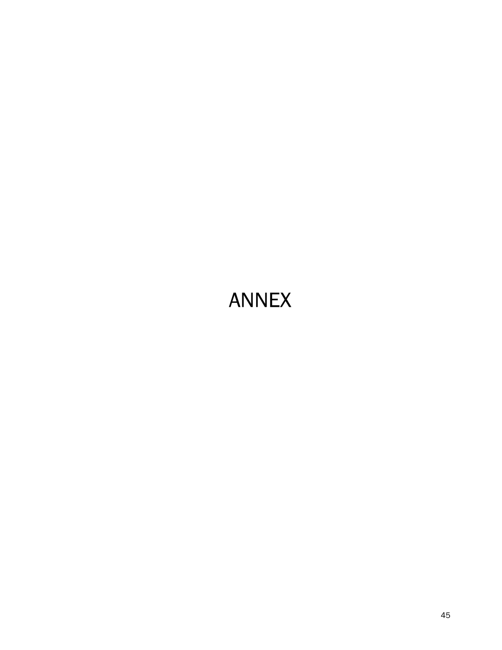## ANNEX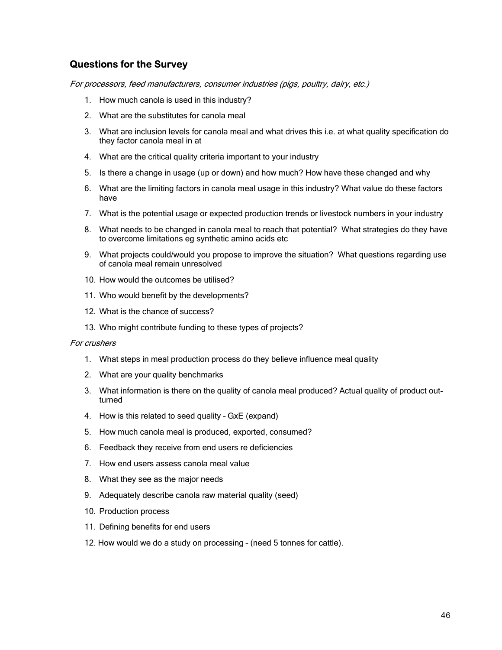#### **Questions for the Survey**

For processors, feed manufacturers, consumer industries (pigs, poultry, dairy, etc.)

- 1. How much canola is used in this industry?
- 2. What are the substitutes for canola meal
- 3. What are inclusion levels for canola meal and what drives this i.e. at what quality specification do they factor canola meal in at
- 4. What are the critical quality criteria important to your industry
- 5. Is there a change in usage (up or down) and how much? How have these changed and why
- 6. What are the limiting factors in canola meal usage in this industry? What value do these factors have
- 7. What is the potential usage or expected production trends or livestock numbers in your industry
- 8. What needs to be changed in canola meal to reach that potential? What strategies do they have to overcome limitations eg synthetic amino acids etc
- 9. What projects could/would you propose to improve the situation? What questions regarding use of canola meal remain unresolved
- 10. How would the outcomes be utilised?
- 11. Who would benefit by the developments?
- 12. What is the chance of success?
- 13. Who might contribute funding to these types of projects?

#### For crushers

- 1. What steps in meal production process do they believe influence meal quality
- 2. What are your quality benchmarks
- 3. What information is there on the quality of canola meal produced? Actual quality of product outturned
- 4. How is this related to seed quality GxE (expand)
- 5. How much canola meal is produced, exported, consumed?
- 6. Feedback they receive from end users re deficiencies
- 7. How end users assess canola meal value
- 8. What they see as the major needs
- 9. Adequately describe canola raw material quality (seed)
- 10. Production process
- 11. Defining benefits for end users
- 12. How would we do a study on processing (need 5 tonnes for cattle).